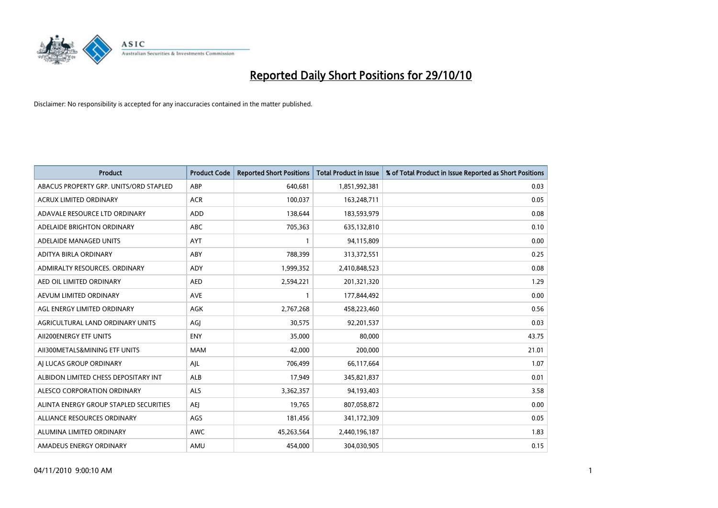

| <b>Product</b>                         | <b>Product Code</b> | <b>Reported Short Positions</b> | Total Product in Issue | % of Total Product in Issue Reported as Short Positions |
|----------------------------------------|---------------------|---------------------------------|------------------------|---------------------------------------------------------|
| ABACUS PROPERTY GRP. UNITS/ORD STAPLED | ABP                 | 640,681                         | 1,851,992,381          | 0.03                                                    |
| <b>ACRUX LIMITED ORDINARY</b>          | <b>ACR</b>          | 100,037                         | 163,248,711            | 0.05                                                    |
| ADAVALE RESOURCE LTD ORDINARY          | <b>ADD</b>          | 138,644                         | 183,593,979            | 0.08                                                    |
| ADELAIDE BRIGHTON ORDINARY             | ABC                 | 705,363                         | 635,132,810            | 0.10                                                    |
| ADELAIDE MANAGED UNITS                 | AYT                 |                                 | 94,115,809             | 0.00                                                    |
| ADITYA BIRLA ORDINARY                  | ABY                 | 788,399                         | 313,372,551            | 0.25                                                    |
| ADMIRALTY RESOURCES, ORDINARY          | <b>ADY</b>          | 1,999,352                       | 2,410,848,523          | 0.08                                                    |
| AED OIL LIMITED ORDINARY               | <b>AED</b>          | 2,594,221                       | 201,321,320            | 1.29                                                    |
| AEVUM LIMITED ORDINARY                 | <b>AVE</b>          |                                 | 177,844,492            | 0.00                                                    |
| AGL ENERGY LIMITED ORDINARY            | <b>AGK</b>          | 2,767,268                       | 458,223,460            | 0.56                                                    |
| AGRICULTURAL LAND ORDINARY UNITS       | AGJ                 | 30,575                          | 92,201,537             | 0.03                                                    |
| AII200ENERGY ETF UNITS                 | <b>ENY</b>          | 35,000                          | 80,000                 | 43.75                                                   |
| AII300METALS&MINING ETF UNITS          | <b>MAM</b>          | 42,000                          | 200,000                | 21.01                                                   |
| AI LUCAS GROUP ORDINARY                | AJL                 | 706.499                         | 66,117,664             | 1.07                                                    |
| ALBIDON LIMITED CHESS DEPOSITARY INT   | <b>ALB</b>          | 17,949                          | 345,821,837            | 0.01                                                    |
| ALESCO CORPORATION ORDINARY            | <b>ALS</b>          | 3,362,357                       | 94,193,403             | 3.58                                                    |
| ALINTA ENERGY GROUP STAPLED SECURITIES | AEJ                 | 19,765                          | 807,058,872            | 0.00                                                    |
| ALLIANCE RESOURCES ORDINARY            | AGS                 | 181,456                         | 341,172,309            | 0.05                                                    |
| ALUMINA LIMITED ORDINARY               | <b>AWC</b>          | 45,263,564                      | 2,440,196,187          | 1.83                                                    |
| AMADEUS ENERGY ORDINARY                | AMU                 | 454.000                         | 304,030,905            | 0.15                                                    |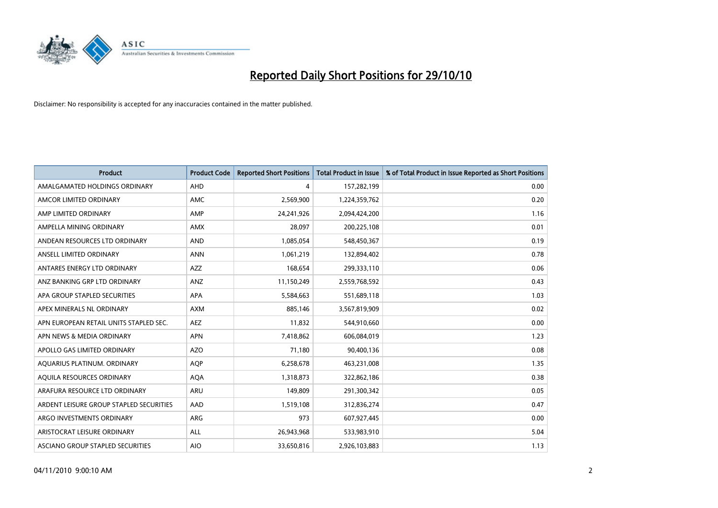

| <b>Product</b>                          | <b>Product Code</b> | <b>Reported Short Positions</b> | <b>Total Product in Issue</b> | % of Total Product in Issue Reported as Short Positions |
|-----------------------------------------|---------------------|---------------------------------|-------------------------------|---------------------------------------------------------|
| AMALGAMATED HOLDINGS ORDINARY           | AHD                 | 4                               | 157,282,199                   | 0.00                                                    |
| AMCOR LIMITED ORDINARY                  | <b>AMC</b>          | 2,569,900                       | 1,224,359,762                 | 0.20                                                    |
| AMP LIMITED ORDINARY                    | AMP                 | 24,241,926                      | 2,094,424,200                 | 1.16                                                    |
| AMPELLA MINING ORDINARY                 | <b>AMX</b>          | 28,097                          | 200,225,108                   | 0.01                                                    |
| ANDEAN RESOURCES LTD ORDINARY           | <b>AND</b>          | 1,085,054                       | 548,450,367                   | 0.19                                                    |
| ANSELL LIMITED ORDINARY                 | <b>ANN</b>          | 1,061,219                       | 132,894,402                   | 0.78                                                    |
| ANTARES ENERGY LTD ORDINARY             | <b>AZZ</b>          | 168,654                         | 299,333,110                   | 0.06                                                    |
| ANZ BANKING GRP LTD ORDINARY            | <b>ANZ</b>          | 11,150,249                      | 2,559,768,592                 | 0.43                                                    |
| APA GROUP STAPLED SECURITIES            | <b>APA</b>          | 5,584,663                       | 551,689,118                   | 1.03                                                    |
| APEX MINERALS NL ORDINARY               | <b>AXM</b>          | 885.146                         | 3,567,819,909                 | 0.02                                                    |
| APN EUROPEAN RETAIL UNITS STAPLED SEC.  | <b>AEZ</b>          | 11,832                          | 544,910,660                   | 0.00                                                    |
| APN NEWS & MEDIA ORDINARY               | <b>APN</b>          | 7,418,862                       | 606,084,019                   | 1.23                                                    |
| APOLLO GAS LIMITED ORDINARY             | <b>AZO</b>          | 71,180                          | 90,400,136                    | 0.08                                                    |
| AQUARIUS PLATINUM. ORDINARY             | <b>AOP</b>          | 6,258,678                       | 463,231,008                   | 1.35                                                    |
| AQUILA RESOURCES ORDINARY               | <b>AQA</b>          | 1,318,873                       | 322,862,186                   | 0.38                                                    |
| ARAFURA RESOURCE LTD ORDINARY           | <b>ARU</b>          | 149,809                         | 291,300,342                   | 0.05                                                    |
| ARDENT LEISURE GROUP STAPLED SECURITIES | AAD                 | 1,519,108                       | 312,836,274                   | 0.47                                                    |
| ARGO INVESTMENTS ORDINARY               | <b>ARG</b>          | 973                             | 607,927,445                   | 0.00                                                    |
| ARISTOCRAT LEISURE ORDINARY             | <b>ALL</b>          | 26,943,968                      | 533,983,910                   | 5.04                                                    |
| ASCIANO GROUP STAPLED SECURITIES        | <b>AIO</b>          | 33,650,816                      | 2,926,103,883                 | 1.13                                                    |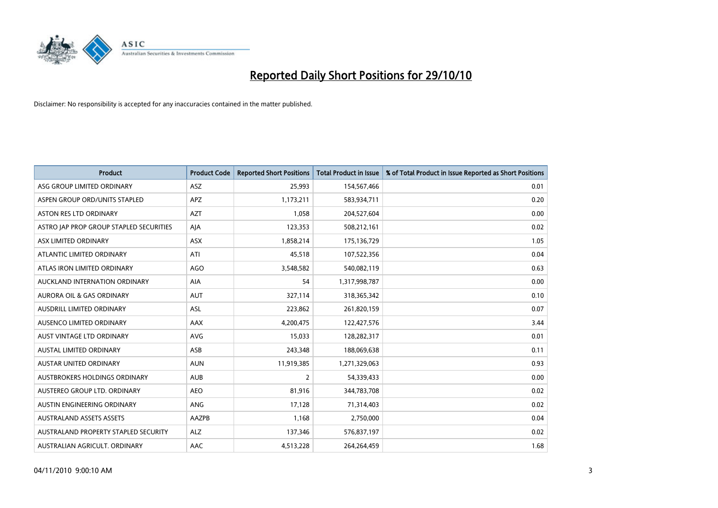

| <b>Product</b>                          | <b>Product Code</b> | <b>Reported Short Positions</b> | Total Product in Issue | % of Total Product in Issue Reported as Short Positions |
|-----------------------------------------|---------------------|---------------------------------|------------------------|---------------------------------------------------------|
| ASG GROUP LIMITED ORDINARY              | <b>ASZ</b>          | 25,993                          | 154,567,466            | 0.01                                                    |
| ASPEN GROUP ORD/UNITS STAPLED           | <b>APZ</b>          | 1,173,211                       | 583,934,711            | 0.20                                                    |
| <b>ASTON RES LTD ORDINARY</b>           | <b>AZT</b>          | 1,058                           | 204,527,604            | 0.00                                                    |
| ASTRO JAP PROP GROUP STAPLED SECURITIES | AJA                 | 123,353                         | 508,212,161            | 0.02                                                    |
| ASX LIMITED ORDINARY                    | ASX                 | 1,858,214                       | 175,136,729            | 1.05                                                    |
| ATLANTIC LIMITED ORDINARY               | ATI                 | 45,518                          | 107,522,356            | 0.04                                                    |
| ATLAS IRON LIMITED ORDINARY             | <b>AGO</b>          | 3,548,582                       | 540,082,119            | 0.63                                                    |
| AUCKLAND INTERNATION ORDINARY           | AIA                 | 54                              | 1,317,998,787          | 0.00                                                    |
| AURORA OIL & GAS ORDINARY               | <b>AUT</b>          | 327,114                         | 318,365,342            | 0.10                                                    |
| AUSDRILL LIMITED ORDINARY               | <b>ASL</b>          | 223,862                         | 261,820,159            | 0.07                                                    |
| AUSENCO LIMITED ORDINARY                | AAX                 | 4,200,475                       | 122,427,576            | 3.44                                                    |
| AUST VINTAGE LTD ORDINARY               | <b>AVG</b>          | 15,033                          | 128,282,317            | 0.01                                                    |
| <b>AUSTAL LIMITED ORDINARY</b>          | ASB                 | 243,348                         | 188,069,638            | 0.11                                                    |
| AUSTAR UNITED ORDINARY                  | <b>AUN</b>          | 11,919,385                      | 1,271,329,063          | 0.93                                                    |
| AUSTBROKERS HOLDINGS ORDINARY           | <b>AUB</b>          | 2                               | 54,339,433             | 0.00                                                    |
| AUSTEREO GROUP LTD. ORDINARY            | <b>AEO</b>          | 81,916                          | 344,783,708            | 0.02                                                    |
| AUSTIN ENGINEERING ORDINARY             | <b>ANG</b>          | 17,128                          | 71,314,403             | 0.02                                                    |
| <b>AUSTRALAND ASSETS ASSETS</b>         | AAZPB               | 1,168                           | 2,750,000              | 0.04                                                    |
| AUSTRALAND PROPERTY STAPLED SECURITY    | <b>ALZ</b>          | 137,346                         | 576,837,197            | 0.02                                                    |
| AUSTRALIAN AGRICULT. ORDINARY           | AAC                 | 4,513,228                       | 264,264,459            | 1.68                                                    |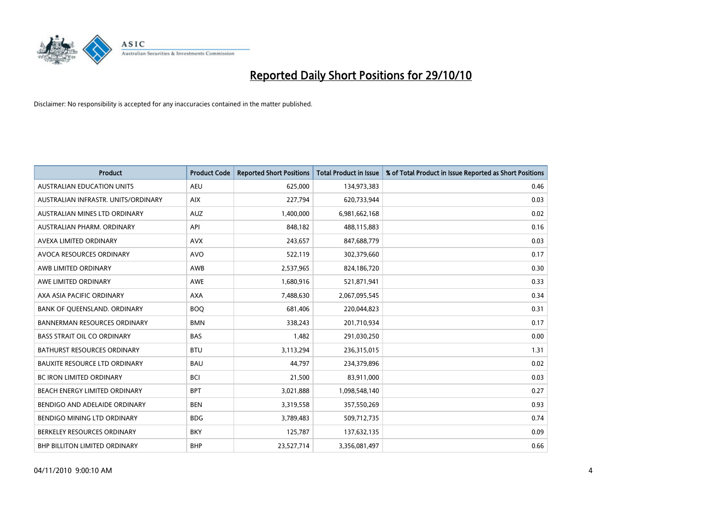

| <b>Product</b>                       | <b>Product Code</b> | <b>Reported Short Positions</b> | <b>Total Product in Issue</b> | % of Total Product in Issue Reported as Short Positions |
|--------------------------------------|---------------------|---------------------------------|-------------------------------|---------------------------------------------------------|
| <b>AUSTRALIAN EDUCATION UNITS</b>    | <b>AEU</b>          | 625,000                         | 134,973,383                   | 0.46                                                    |
| AUSTRALIAN INFRASTR. UNITS/ORDINARY  | <b>AIX</b>          | 227,794                         | 620,733,944                   | 0.03                                                    |
| AUSTRALIAN MINES LTD ORDINARY        | <b>AUZ</b>          | 1,400,000                       | 6,981,662,168                 | 0.02                                                    |
| AUSTRALIAN PHARM. ORDINARY           | API                 | 848,182                         | 488,115,883                   | 0.16                                                    |
| AVEXA LIMITED ORDINARY               | <b>AVX</b>          | 243,657                         | 847,688,779                   | 0.03                                                    |
| AVOCA RESOURCES ORDINARY             | <b>AVO</b>          | 522,119                         | 302,379,660                   | 0.17                                                    |
| AWB LIMITED ORDINARY                 | <b>AWB</b>          | 2,537,965                       | 824,186,720                   | 0.30                                                    |
| AWE LIMITED ORDINARY                 | <b>AWE</b>          | 1,680,916                       | 521,871,941                   | 0.33                                                    |
| AXA ASIA PACIFIC ORDINARY            | <b>AXA</b>          | 7,488,630                       | 2,067,095,545                 | 0.34                                                    |
| BANK OF QUEENSLAND. ORDINARY         | <b>BOO</b>          | 681,406                         | 220,044,823                   | 0.31                                                    |
| <b>BANNERMAN RESOURCES ORDINARY</b>  | <b>BMN</b>          | 338,243                         | 201,710,934                   | 0.17                                                    |
| <b>BASS STRAIT OIL CO ORDINARY</b>   | <b>BAS</b>          | 1,482                           | 291,030,250                   | 0.00                                                    |
| BATHURST RESOURCES ORDINARY          | <b>BTU</b>          | 3,113,294                       | 236,315,015                   | 1.31                                                    |
| <b>BAUXITE RESOURCE LTD ORDINARY</b> | <b>BAU</b>          | 44,797                          | 234,379,896                   | 0.02                                                    |
| <b>BC IRON LIMITED ORDINARY</b>      | <b>BCI</b>          | 21,500                          | 83,911,000                    | 0.03                                                    |
| BEACH ENERGY LIMITED ORDINARY        | <b>BPT</b>          | 3,021,888                       | 1,098,548,140                 | 0.27                                                    |
| BENDIGO AND ADELAIDE ORDINARY        | <b>BEN</b>          | 3,319,558                       | 357,550,269                   | 0.93                                                    |
| BENDIGO MINING LTD ORDINARY          | <b>BDG</b>          | 3,789,483                       | 509,712,735                   | 0.74                                                    |
| BERKELEY RESOURCES ORDINARY          | <b>BKY</b>          | 125,787                         | 137,632,135                   | 0.09                                                    |
| <b>BHP BILLITON LIMITED ORDINARY</b> | <b>BHP</b>          | 23,527,714                      | 3,356,081,497                 | 0.66                                                    |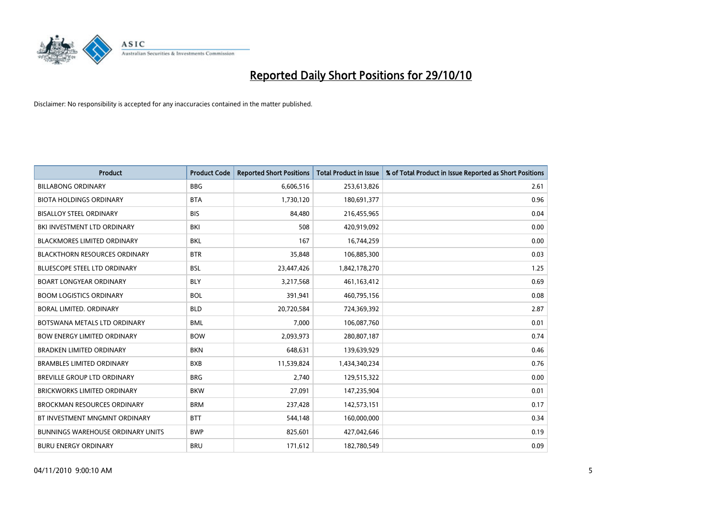

| <b>Product</b>                           | <b>Product Code</b> | <b>Reported Short Positions</b> | <b>Total Product in Issue</b> | % of Total Product in Issue Reported as Short Positions |
|------------------------------------------|---------------------|---------------------------------|-------------------------------|---------------------------------------------------------|
| <b>BILLABONG ORDINARY</b>                | <b>BBG</b>          | 6,606,516                       | 253,613,826                   | 2.61                                                    |
| <b>BIOTA HOLDINGS ORDINARY</b>           | <b>BTA</b>          | 1,730,120                       | 180,691,377                   | 0.96                                                    |
| <b>BISALLOY STEEL ORDINARY</b>           | <b>BIS</b>          | 84,480                          | 216,455,965                   | 0.04                                                    |
| BKI INVESTMENT LTD ORDINARY              | <b>BKI</b>          | 508                             | 420,919,092                   | 0.00                                                    |
| <b>BLACKMORES LIMITED ORDINARY</b>       | <b>BKL</b>          | 167                             | 16,744,259                    | 0.00                                                    |
| <b>BLACKTHORN RESOURCES ORDINARY</b>     | <b>BTR</b>          | 35,848                          | 106,885,300                   | 0.03                                                    |
| <b>BLUESCOPE STEEL LTD ORDINARY</b>      | <b>BSL</b>          | 23,447,426                      | 1,842,178,270                 | 1.25                                                    |
| <b>BOART LONGYEAR ORDINARY</b>           | <b>BLY</b>          | 3,217,568                       | 461,163,412                   | 0.69                                                    |
| <b>BOOM LOGISTICS ORDINARY</b>           | <b>BOL</b>          | 391,941                         | 460,795,156                   | 0.08                                                    |
| <b>BORAL LIMITED, ORDINARY</b>           | <b>BLD</b>          | 20,720,584                      | 724,369,392                   | 2.87                                                    |
| BOTSWANA METALS LTD ORDINARY             | <b>BML</b>          | 7,000                           | 106,087,760                   | 0.01                                                    |
| <b>BOW ENERGY LIMITED ORDINARY</b>       | <b>BOW</b>          | 2,093,973                       | 280,807,187                   | 0.74                                                    |
| <b>BRADKEN LIMITED ORDINARY</b>          | <b>BKN</b>          | 648,631                         | 139,639,929                   | 0.46                                                    |
| <b>BRAMBLES LIMITED ORDINARY</b>         | <b>BXB</b>          | 11,539,824                      | 1,434,340,234                 | 0.76                                                    |
| BREVILLE GROUP LTD ORDINARY              | <b>BRG</b>          | 2,740                           | 129,515,322                   | 0.00                                                    |
| BRICKWORKS LIMITED ORDINARY              | <b>BKW</b>          | 27,091                          | 147,235,904                   | 0.01                                                    |
| <b>BROCKMAN RESOURCES ORDINARY</b>       | <b>BRM</b>          | 237,428                         | 142,573,151                   | 0.17                                                    |
| BT INVESTMENT MNGMNT ORDINARY            | <b>BTT</b>          | 544,148                         | 160,000,000                   | 0.34                                                    |
| <b>BUNNINGS WAREHOUSE ORDINARY UNITS</b> | <b>BWP</b>          | 825,601                         | 427,042,646                   | 0.19                                                    |
| <b>BURU ENERGY ORDINARY</b>              | <b>BRU</b>          | 171,612                         | 182,780,549                   | 0.09                                                    |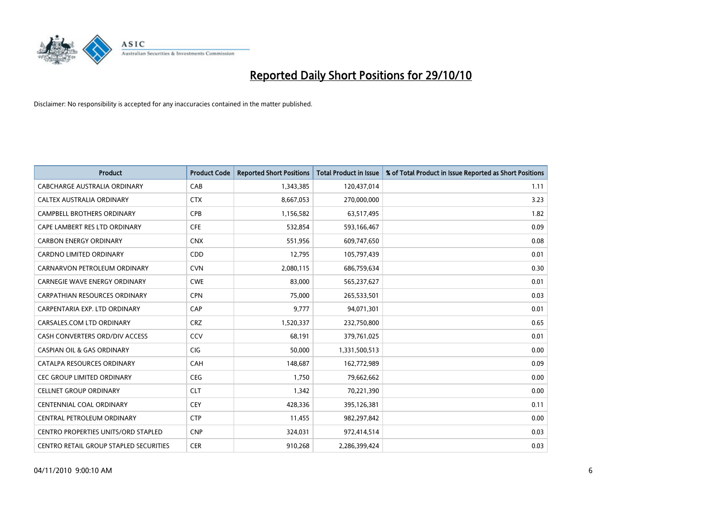

| <b>Product</b>                                | <b>Product Code</b> | <b>Reported Short Positions</b> | <b>Total Product in Issue</b> | % of Total Product in Issue Reported as Short Positions |
|-----------------------------------------------|---------------------|---------------------------------|-------------------------------|---------------------------------------------------------|
| CABCHARGE AUSTRALIA ORDINARY                  | CAB                 | 1,343,385                       | 120,437,014                   | 1.11                                                    |
| CALTEX AUSTRALIA ORDINARY                     | <b>CTX</b>          | 8,667,053                       | 270,000,000                   | 3.23                                                    |
| <b>CAMPBELL BROTHERS ORDINARY</b>             | CPB                 | 1,156,582                       | 63,517,495                    | 1.82                                                    |
| CAPE LAMBERT RES LTD ORDINARY                 | <b>CFE</b>          | 532,854                         | 593,166,467                   | 0.09                                                    |
| <b>CARBON ENERGY ORDINARY</b>                 | <b>CNX</b>          | 551,956                         | 609,747,650                   | 0.08                                                    |
| <b>CARDNO LIMITED ORDINARY</b>                | CDD                 | 12,795                          | 105,797,439                   | 0.01                                                    |
| CARNARVON PETROLEUM ORDINARY                  | <b>CVN</b>          | 2,080,115                       | 686,759,634                   | 0.30                                                    |
| CARNEGIE WAVE ENERGY ORDINARY                 | <b>CWE</b>          | 83,000                          | 565,237,627                   | 0.01                                                    |
| CARPATHIAN RESOURCES ORDINARY                 | <b>CPN</b>          | 75,000                          | 265,533,501                   | 0.03                                                    |
| CARPENTARIA EXP. LTD ORDINARY                 | CAP                 | 9.777                           | 94,071,301                    | 0.01                                                    |
| CARSALES.COM LTD ORDINARY                     | <b>CRZ</b>          | 1,520,337                       | 232,750,800                   | 0.65                                                    |
| CASH CONVERTERS ORD/DIV ACCESS                | CCV                 | 68,191                          | 379,761,025                   | 0.01                                                    |
| <b>CASPIAN OIL &amp; GAS ORDINARY</b>         | <b>CIG</b>          | 50.000                          | 1,331,500,513                 | 0.00                                                    |
| CATALPA RESOURCES ORDINARY                    | CAH                 | 148.687                         | 162,772,989                   | 0.09                                                    |
| <b>CEC GROUP LIMITED ORDINARY</b>             | <b>CEG</b>          | 1,750                           | 79,662,662                    | 0.00                                                    |
| <b>CELLNET GROUP ORDINARY</b>                 | <b>CLT</b>          | 1,342                           | 70,221,390                    | 0.00                                                    |
| <b>CENTENNIAL COAL ORDINARY</b>               | <b>CEY</b>          | 428,336                         | 395,126,381                   | 0.11                                                    |
| CENTRAL PETROLEUM ORDINARY                    | <b>CTP</b>          | 11,455                          | 982,297,842                   | 0.00                                                    |
| <b>CENTRO PROPERTIES UNITS/ORD STAPLED</b>    | <b>CNP</b>          | 324,031                         | 972,414,514                   | 0.03                                                    |
| <b>CENTRO RETAIL GROUP STAPLED SECURITIES</b> | <b>CER</b>          | 910,268                         | 2,286,399,424                 | 0.03                                                    |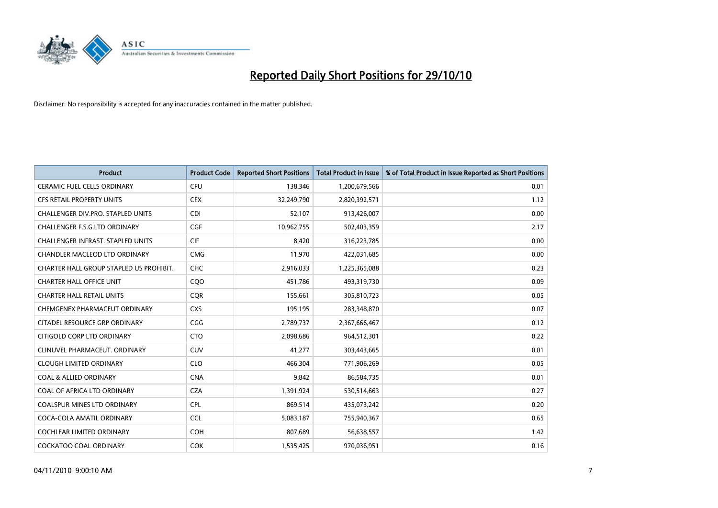

| <b>Product</b>                           | <b>Product Code</b> | <b>Reported Short Positions</b> | <b>Total Product in Issue</b> | % of Total Product in Issue Reported as Short Positions |
|------------------------------------------|---------------------|---------------------------------|-------------------------------|---------------------------------------------------------|
| <b>CERAMIC FUEL CELLS ORDINARY</b>       | <b>CFU</b>          | 138,346                         | 1,200,679,566                 | 0.01                                                    |
| CFS RETAIL PROPERTY UNITS                | <b>CFX</b>          | 32,249,790                      | 2,820,392,571                 | 1.12                                                    |
| CHALLENGER DIV.PRO. STAPLED UNITS        | <b>CDI</b>          | 52,107                          | 913,426,007                   | 0.00                                                    |
| CHALLENGER F.S.G.LTD ORDINARY            | CGF                 | 10,962,755                      | 502,403,359                   | 2.17                                                    |
| <b>CHALLENGER INFRAST, STAPLED UNITS</b> | <b>CIF</b>          | 8,420                           | 316,223,785                   | 0.00                                                    |
| <b>CHANDLER MACLEOD LTD ORDINARY</b>     | <b>CMG</b>          | 11,970                          | 422,031,685                   | 0.00                                                    |
| CHARTER HALL GROUP STAPLED US PROHIBIT.  | <b>CHC</b>          | 2,916,033                       | 1,225,365,088                 | 0.23                                                    |
| <b>CHARTER HALL OFFICE UNIT</b>          | CQO                 | 451,786                         | 493,319,730                   | 0.09                                                    |
| <b>CHARTER HALL RETAIL UNITS</b>         | <b>COR</b>          | 155,661                         | 305,810,723                   | 0.05                                                    |
| CHEMGENEX PHARMACEUT ORDINARY            | <b>CXS</b>          | 195,195                         | 283,348,870                   | 0.07                                                    |
| CITADEL RESOURCE GRP ORDINARY            | CGG                 | 2,789,737                       | 2,367,666,467                 | 0.12                                                    |
| CITIGOLD CORP LTD ORDINARY               | <b>CTO</b>          | 2,098,686                       | 964,512,301                   | 0.22                                                    |
| CLINUVEL PHARMACEUT, ORDINARY            | <b>CUV</b>          | 41,277                          | 303,443,665                   | 0.01                                                    |
| <b>CLOUGH LIMITED ORDINARY</b>           | <b>CLO</b>          | 466.304                         | 771,906,269                   | 0.05                                                    |
| <b>COAL &amp; ALLIED ORDINARY</b>        | <b>CNA</b>          | 9,842                           | 86,584,735                    | 0.01                                                    |
| COAL OF AFRICA LTD ORDINARY              | <b>CZA</b>          | 1,391,924                       | 530,514,663                   | 0.27                                                    |
| <b>COALSPUR MINES LTD ORDINARY</b>       | <b>CPL</b>          | 869,514                         | 435,073,242                   | 0.20                                                    |
| COCA-COLA AMATIL ORDINARY                | <b>CCL</b>          | 5,083,187                       | 755,940,367                   | 0.65                                                    |
| COCHLEAR LIMITED ORDINARY                | <b>COH</b>          | 807,689                         | 56,638,557                    | 1.42                                                    |
| COCKATOO COAL ORDINARY                   | <b>COK</b>          | 1,535,425                       | 970,036,951                   | 0.16                                                    |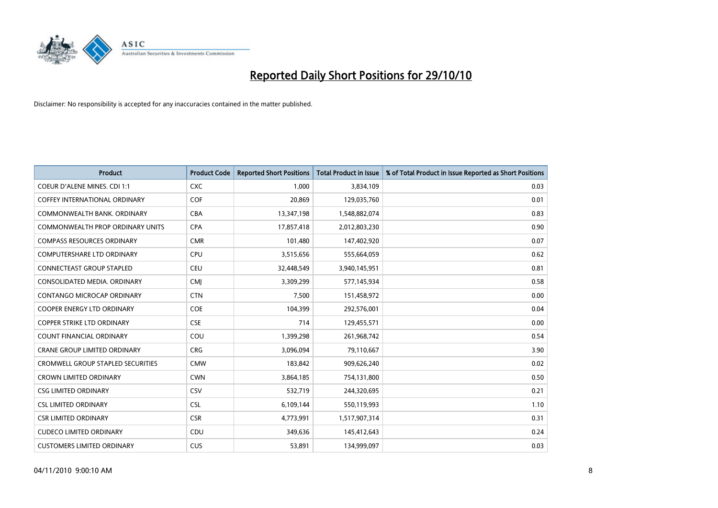

| <b>Product</b>                           | <b>Product Code</b> | <b>Reported Short Positions</b> | <b>Total Product in Issue</b> | % of Total Product in Issue Reported as Short Positions |
|------------------------------------------|---------------------|---------------------------------|-------------------------------|---------------------------------------------------------|
| <b>COEUR D'ALENE MINES. CDI 1:1</b>      | <b>CXC</b>          | 1,000                           | 3,834,109                     | 0.03                                                    |
| COFFEY INTERNATIONAL ORDINARY            | <b>COF</b>          | 20,869                          | 129,035,760                   | 0.01                                                    |
| COMMONWEALTH BANK, ORDINARY              | <b>CBA</b>          | 13,347,198                      | 1,548,882,074                 | 0.83                                                    |
| COMMONWEALTH PROP ORDINARY UNITS         | <b>CPA</b>          | 17,857,418                      | 2,012,803,230                 | 0.90                                                    |
| <b>COMPASS RESOURCES ORDINARY</b>        | <b>CMR</b>          | 101,480                         | 147,402,920                   | 0.07                                                    |
| COMPUTERSHARE LTD ORDINARY               | <b>CPU</b>          | 3,515,656                       | 555,664,059                   | 0.62                                                    |
| <b>CONNECTEAST GROUP STAPLED</b>         | <b>CEU</b>          | 32,448,549                      | 3,940,145,951                 | 0.81                                                    |
| CONSOLIDATED MEDIA, ORDINARY             | <b>CMJ</b>          | 3,309,299                       | 577,145,934                   | 0.58                                                    |
| <b>CONTANGO MICROCAP ORDINARY</b>        | <b>CTN</b>          | 7,500                           | 151,458,972                   | 0.00                                                    |
| <b>COOPER ENERGY LTD ORDINARY</b>        | <b>COE</b>          | 104,399                         | 292,576,001                   | 0.04                                                    |
| <b>COPPER STRIKE LTD ORDINARY</b>        | <b>CSE</b>          | 714                             | 129,455,571                   | 0.00                                                    |
| <b>COUNT FINANCIAL ORDINARY</b>          | COU                 | 1,399,298                       | 261,968,742                   | 0.54                                                    |
| <b>CRANE GROUP LIMITED ORDINARY</b>      | <b>CRG</b>          | 3,096,094                       | 79,110,667                    | 3.90                                                    |
| <b>CROMWELL GROUP STAPLED SECURITIES</b> | <b>CMW</b>          | 183,842                         | 909,626,240                   | 0.02                                                    |
| <b>CROWN LIMITED ORDINARY</b>            | <b>CWN</b>          | 3,864,185                       | 754,131,800                   | 0.50                                                    |
| <b>CSG LIMITED ORDINARY</b>              | <b>CSV</b>          | 532,719                         | 244,320,695                   | 0.21                                                    |
| <b>CSL LIMITED ORDINARY</b>              | <b>CSL</b>          | 6,109,144                       | 550,119,993                   | 1.10                                                    |
| <b>CSR LIMITED ORDINARY</b>              | <b>CSR</b>          | 4,773,991                       | 1,517,907,314                 | 0.31                                                    |
| <b>CUDECO LIMITED ORDINARY</b>           | CDU                 | 349,636                         | 145,412,643                   | 0.24                                                    |
| <b>CUSTOMERS LIMITED ORDINARY</b>        | <b>CUS</b>          | 53,891                          | 134,999,097                   | 0.03                                                    |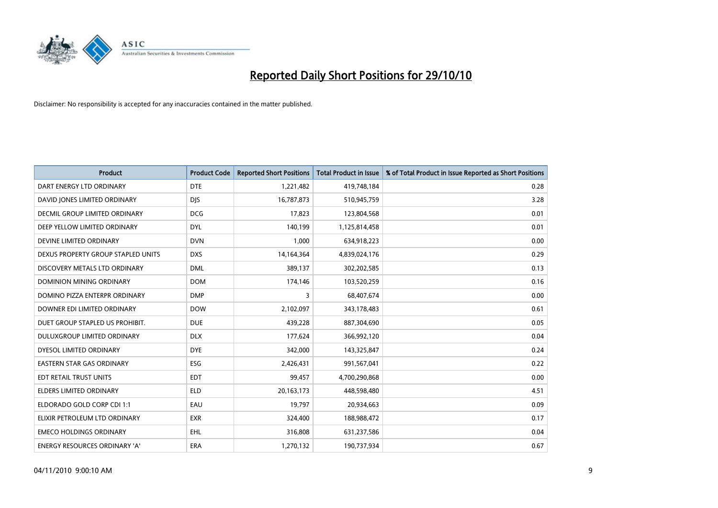

| <b>Product</b>                       | <b>Product Code</b> | <b>Reported Short Positions</b> | Total Product in Issue | % of Total Product in Issue Reported as Short Positions |
|--------------------------------------|---------------------|---------------------------------|------------------------|---------------------------------------------------------|
| DART ENERGY LTD ORDINARY             | <b>DTE</b>          | 1,221,482                       | 419,748,184            | 0.28                                                    |
| DAVID JONES LIMITED ORDINARY         | <b>DIS</b>          | 16,787,873                      | 510,945,759            | 3.28                                                    |
| <b>DECMIL GROUP LIMITED ORDINARY</b> | <b>DCG</b>          | 17,823                          | 123,804,568            | 0.01                                                    |
| DEEP YELLOW LIMITED ORDINARY         | <b>DYL</b>          | 140,199                         | 1,125,814,458          | 0.01                                                    |
| DEVINE LIMITED ORDINARY              | <b>DVN</b>          | 1,000                           | 634,918,223            | 0.00                                                    |
| DEXUS PROPERTY GROUP STAPLED UNITS   | <b>DXS</b>          | 14,164,364                      | 4,839,024,176          | 0.29                                                    |
| DISCOVERY METALS LTD ORDINARY        | <b>DML</b>          | 389,137                         | 302,202,585            | 0.13                                                    |
| DOMINION MINING ORDINARY             | <b>DOM</b>          | 174,146                         | 103,520,259            | 0.16                                                    |
| DOMINO PIZZA ENTERPR ORDINARY        | <b>DMP</b>          | 3                               | 68,407,674             | 0.00                                                    |
| DOWNER EDI LIMITED ORDINARY          | <b>DOW</b>          | 2,102,097                       | 343,178,483            | 0.61                                                    |
| DUET GROUP STAPLED US PROHIBIT.      | <b>DUE</b>          | 439,228                         | 887,304,690            | 0.05                                                    |
| <b>DULUXGROUP LIMITED ORDINARY</b>   | <b>DLX</b>          | 177,624                         | 366,992,120            | 0.04                                                    |
| DYESOL LIMITED ORDINARY              | <b>DYE</b>          | 342.000                         | 143,325,847            | 0.24                                                    |
| <b>EASTERN STAR GAS ORDINARY</b>     | ESG                 | 2,426,431                       | 991,567,041            | 0.22                                                    |
| EDT RETAIL TRUST UNITS               | <b>EDT</b>          | 99,457                          | 4,700,290,868          | 0.00                                                    |
| <b>ELDERS LIMITED ORDINARY</b>       | <b>ELD</b>          | 20,163,173                      | 448,598,480            | 4.51                                                    |
| ELDORADO GOLD CORP CDI 1:1           | EAU                 | 19,797                          | 20,934,663             | 0.09                                                    |
| ELIXIR PETROLEUM LTD ORDINARY        | <b>EXR</b>          | 324,400                         | 188,988,472            | 0.17                                                    |
| <b>EMECO HOLDINGS ORDINARY</b>       | <b>EHL</b>          | 316,808                         | 631,237,586            | 0.04                                                    |
| <b>ENERGY RESOURCES ORDINARY 'A'</b> | <b>ERA</b>          | 1,270,132                       | 190,737,934            | 0.67                                                    |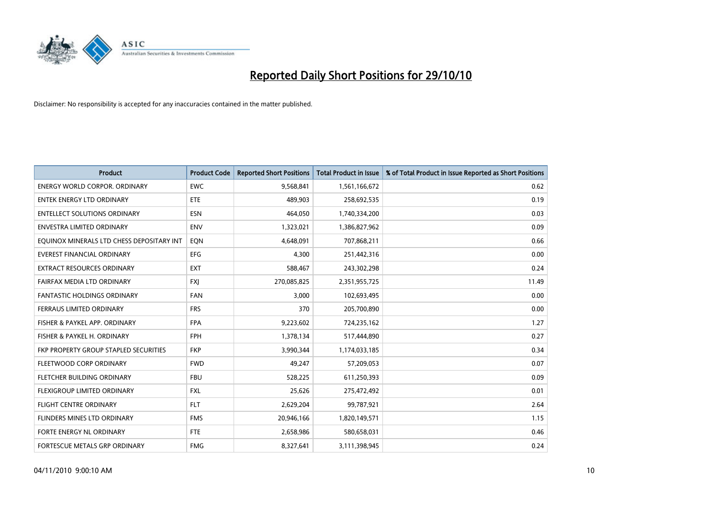

| <b>Product</b>                            | <b>Product Code</b> | <b>Reported Short Positions</b> | <b>Total Product in Issue</b> | % of Total Product in Issue Reported as Short Positions |
|-------------------------------------------|---------------------|---------------------------------|-------------------------------|---------------------------------------------------------|
| <b>ENERGY WORLD CORPOR, ORDINARY</b>      | <b>EWC</b>          | 9,568,841                       | 1,561,166,672                 | 0.62                                                    |
| <b>ENTEK ENERGY LTD ORDINARY</b>          | ETE                 | 489.903                         | 258,692,535                   | 0.19                                                    |
| <b>ENTELLECT SOLUTIONS ORDINARY</b>       | <b>ESN</b>          | 464,050                         | 1,740,334,200                 | 0.03                                                    |
| ENVESTRA LIMITED ORDINARY                 | <b>ENV</b>          | 1,323,021                       | 1,386,827,962                 | 0.09                                                    |
| EOUINOX MINERALS LTD CHESS DEPOSITARY INT | <b>EON</b>          | 4,648,091                       | 707,868,211                   | 0.66                                                    |
| <b>EVEREST FINANCIAL ORDINARY</b>         | <b>EFG</b>          | 4,300                           | 251,442,316                   | 0.00                                                    |
| <b>EXTRACT RESOURCES ORDINARY</b>         | <b>EXT</b>          | 588,467                         | 243,302,298                   | 0.24                                                    |
| FAIRFAX MEDIA LTD ORDINARY                | <b>FXI</b>          | 270,085,825                     | 2,351,955,725                 | 11.49                                                   |
| <b>FANTASTIC HOLDINGS ORDINARY</b>        | <b>FAN</b>          | 3,000                           | 102,693,495                   | 0.00                                                    |
| FERRAUS LIMITED ORDINARY                  | <b>FRS</b>          | 370                             | 205,700,890                   | 0.00                                                    |
| FISHER & PAYKEL APP. ORDINARY             | <b>FPA</b>          | 9,223,602                       | 724,235,162                   | 1.27                                                    |
| FISHER & PAYKEL H. ORDINARY               | <b>FPH</b>          | 1,378,134                       | 517,444,890                   | 0.27                                                    |
| FKP PROPERTY GROUP STAPLED SECURITIES     | <b>FKP</b>          | 3,990,344                       | 1,174,033,185                 | 0.34                                                    |
| FLEETWOOD CORP ORDINARY                   | <b>FWD</b>          | 49,247                          | 57,209,053                    | 0.07                                                    |
| FLETCHER BUILDING ORDINARY                | <b>FBU</b>          | 528,225                         | 611,250,393                   | 0.09                                                    |
| FLEXIGROUP LIMITED ORDINARY               | <b>FXL</b>          | 25,626                          | 275,472,492                   | 0.01                                                    |
| <b>FLIGHT CENTRE ORDINARY</b>             | <b>FLT</b>          | 2,629,204                       | 99,787,921                    | 2.64                                                    |
| FLINDERS MINES LTD ORDINARY               | <b>FMS</b>          | 20,946,166                      | 1,820,149,571                 | 1.15                                                    |
| FORTE ENERGY NL ORDINARY                  | <b>FTE</b>          | 2,658,986                       | 580,658,031                   | 0.46                                                    |
| FORTESCUE METALS GRP ORDINARY             | <b>FMG</b>          | 8,327,641                       | 3,111,398,945                 | 0.24                                                    |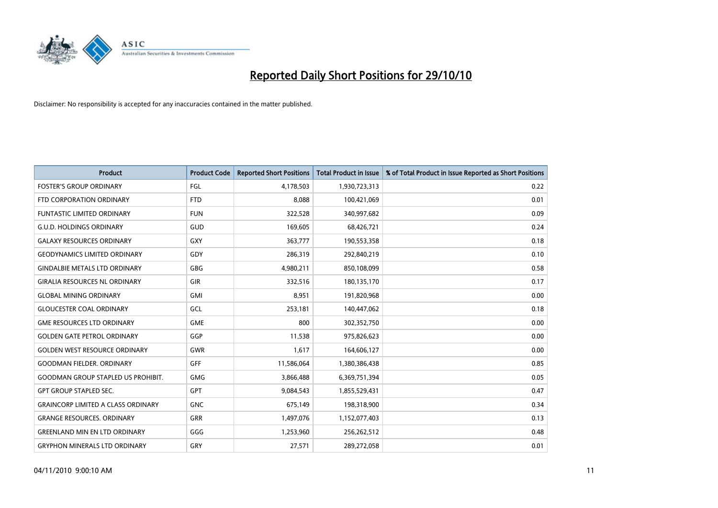

| <b>Product</b>                            | <b>Product Code</b> | <b>Reported Short Positions</b> | Total Product in Issue | % of Total Product in Issue Reported as Short Positions |
|-------------------------------------------|---------------------|---------------------------------|------------------------|---------------------------------------------------------|
| <b>FOSTER'S GROUP ORDINARY</b>            | FGL                 | 4,178,503                       | 1,930,723,313          | 0.22                                                    |
| FTD CORPORATION ORDINARY                  | <b>FTD</b>          | 8,088                           | 100,421,069            | 0.01                                                    |
| <b>FUNTASTIC LIMITED ORDINARY</b>         | <b>FUN</b>          | 322,528                         | 340,997,682            | 0.09                                                    |
| <b>G.U.D. HOLDINGS ORDINARY</b>           | GUD                 | 169,605                         | 68,426,721             | 0.24                                                    |
| <b>GALAXY RESOURCES ORDINARY</b>          | GXY                 | 363,777                         | 190,553,358            | 0.18                                                    |
| <b>GEODYNAMICS LIMITED ORDINARY</b>       | GDY                 | 286,319                         | 292,840,219            | 0.10                                                    |
| <b>GINDALBIE METALS LTD ORDINARY</b>      | <b>GBG</b>          | 4,980,211                       | 850,108,099            | 0.58                                                    |
| <b>GIRALIA RESOURCES NL ORDINARY</b>      | GIR                 | 332,516                         | 180,135,170            | 0.17                                                    |
| <b>GLOBAL MINING ORDINARY</b>             | <b>GMI</b>          | 8,951                           | 191,820,968            | 0.00                                                    |
| <b>GLOUCESTER COAL ORDINARY</b>           | GCL                 | 253,181                         | 140,447,062            | 0.18                                                    |
| <b>GME RESOURCES LTD ORDINARY</b>         | <b>GME</b>          | 800                             | 302,352,750            | 0.00                                                    |
| <b>GOLDEN GATE PETROL ORDINARY</b>        | GGP                 | 11,538                          | 975,826,623            | 0.00                                                    |
| <b>GOLDEN WEST RESOURCE ORDINARY</b>      | <b>GWR</b>          | 1,617                           | 164,606,127            | 0.00                                                    |
| <b>GOODMAN FIELDER, ORDINARY</b>          | GFF                 | 11,586,064                      | 1,380,386,438          | 0.85                                                    |
| <b>GOODMAN GROUP STAPLED US PROHIBIT.</b> | <b>GMG</b>          | 3,866,488                       | 6,369,751,394          | 0.05                                                    |
| <b>GPT GROUP STAPLED SEC.</b>             | GPT                 | 9,084,543                       | 1,855,529,431          | 0.47                                                    |
| <b>GRAINCORP LIMITED A CLASS ORDINARY</b> | <b>GNC</b>          | 675,149                         | 198,318,900            | 0.34                                                    |
| <b>GRANGE RESOURCES. ORDINARY</b>         | <b>GRR</b>          | 1,497,076                       | 1,152,077,403          | 0.13                                                    |
| <b>GREENLAND MIN EN LTD ORDINARY</b>      | GGG                 | 1,253,960                       | 256,262,512            | 0.48                                                    |
| <b>GRYPHON MINERALS LTD ORDINARY</b>      | GRY                 | 27,571                          | 289,272,058            | 0.01                                                    |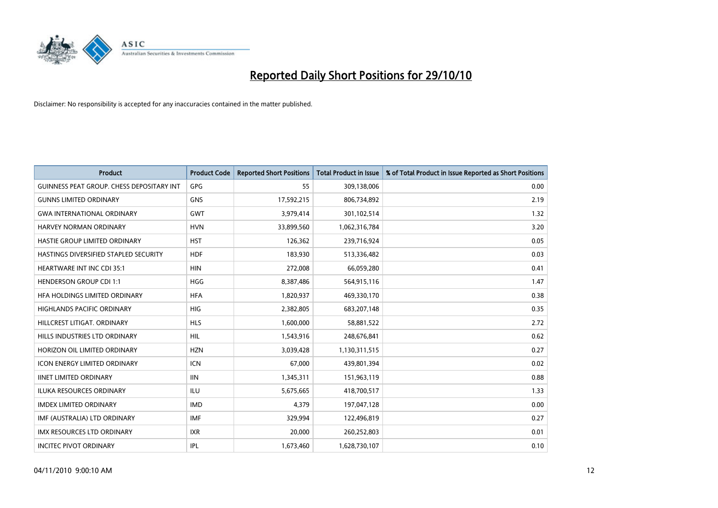

| Product                                          | <b>Product Code</b> | <b>Reported Short Positions</b> | Total Product in Issue | % of Total Product in Issue Reported as Short Positions |
|--------------------------------------------------|---------------------|---------------------------------|------------------------|---------------------------------------------------------|
| <b>GUINNESS PEAT GROUP. CHESS DEPOSITARY INT</b> | <b>GPG</b>          | 55                              | 309,138,006            | 0.00                                                    |
| <b>GUNNS LIMITED ORDINARY</b>                    | <b>GNS</b>          | 17,592,215                      | 806,734,892            | 2.19                                                    |
| <b>GWA INTERNATIONAL ORDINARY</b>                | <b>GWT</b>          | 3,979,414                       | 301,102,514            | 1.32                                                    |
| HARVEY NORMAN ORDINARY                           | <b>HVN</b>          | 33,899,560                      | 1,062,316,784          | 3.20                                                    |
| HASTIE GROUP LIMITED ORDINARY                    | <b>HST</b>          | 126,362                         | 239,716,924            | 0.05                                                    |
| <b>HASTINGS DIVERSIFIED STAPLED SECURITY</b>     | <b>HDF</b>          | 183,930                         | 513,336,482            | 0.03                                                    |
| <b>HEARTWARE INT INC CDI 35:1</b>                | <b>HIN</b>          | 272,008                         | 66,059,280             | 0.41                                                    |
| <b>HENDERSON GROUP CDI 1:1</b>                   | <b>HGG</b>          | 8,387,486                       | 564,915,116            | 1.47                                                    |
| HEA HOLDINGS LIMITED ORDINARY                    | <b>HFA</b>          | 1,820,937                       | 469,330,170            | 0.38                                                    |
| <b>HIGHLANDS PACIFIC ORDINARY</b>                | <b>HIG</b>          | 2,382,805                       | 683,207,148            | 0.35                                                    |
| HILLCREST LITIGAT, ORDINARY                      | <b>HLS</b>          | 1,600,000                       | 58,881,522             | 2.72                                                    |
| HILLS INDUSTRIES LTD ORDINARY                    | <b>HIL</b>          | 1,543,916                       | 248,676,841            | 0.62                                                    |
| HORIZON OIL LIMITED ORDINARY                     | <b>HZN</b>          | 3,039,428                       | 1,130,311,515          | 0.27                                                    |
| <b>ICON ENERGY LIMITED ORDINARY</b>              | <b>ICN</b>          | 67,000                          | 439,801,394            | 0.02                                                    |
| <b>IINET LIMITED ORDINARY</b>                    | <b>IIN</b>          | 1,345,311                       | 151,963,119            | 0.88                                                    |
| <b>ILUKA RESOURCES ORDINARY</b>                  | ILU                 | 5,675,665                       | 418,700,517            | 1.33                                                    |
| <b>IMDEX LIMITED ORDINARY</b>                    | <b>IMD</b>          | 4,379                           | 197,047,128            | 0.00                                                    |
| IMF (AUSTRALIA) LTD ORDINARY                     | <b>IMF</b>          | 329,994                         | 122,496,819            | 0.27                                                    |
| <b>IMX RESOURCES LTD ORDINARY</b>                | <b>IXR</b>          | 20,000                          | 260,252,803            | 0.01                                                    |
| <b>INCITEC PIVOT ORDINARY</b>                    | IPL                 | 1,673,460                       | 1,628,730,107          | 0.10                                                    |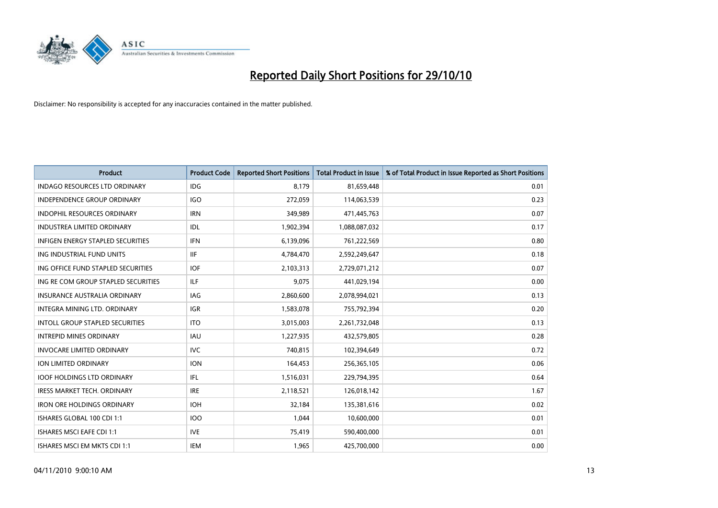

| <b>Product</b>                         | <b>Product Code</b> | <b>Reported Short Positions</b> | Total Product in Issue | % of Total Product in Issue Reported as Short Positions |
|----------------------------------------|---------------------|---------------------------------|------------------------|---------------------------------------------------------|
| <b>INDAGO RESOURCES LTD ORDINARY</b>   | <b>IDG</b>          | 8,179                           | 81,659,448             | 0.01                                                    |
| INDEPENDENCE GROUP ORDINARY            | <b>IGO</b>          | 272,059                         | 114,063,539            | 0.23                                                    |
| INDOPHIL RESOURCES ORDINARY            | <b>IRN</b>          | 349,989                         | 471,445,763            | 0.07                                                    |
| <b>INDUSTREA LIMITED ORDINARY</b>      | IDL                 | 1,902,394                       | 1,088,087,032          | 0.17                                                    |
| INFIGEN ENERGY STAPLED SECURITIES      | <b>IFN</b>          | 6,139,096                       | 761,222,569            | 0.80                                                    |
| ING INDUSTRIAL FUND UNITS              | <b>IIF</b>          | 4,784,470                       | 2,592,249,647          | 0.18                                                    |
| ING OFFICE FUND STAPLED SECURITIES     | <b>IOF</b>          | 2,103,313                       | 2,729,071,212          | 0.07                                                    |
| ING RE COM GROUP STAPLED SECURITIES    | <b>ILF</b>          | 9,075                           | 441,029,194            | 0.00                                                    |
| <b>INSURANCE AUSTRALIA ORDINARY</b>    | IAG                 | 2,860,600                       | 2,078,994,021          | 0.13                                                    |
| INTEGRA MINING LTD, ORDINARY           | <b>IGR</b>          | 1,583,078                       | 755,792,394            | 0.20                                                    |
| <b>INTOLL GROUP STAPLED SECURITIES</b> | <b>ITO</b>          | 3,015,003                       | 2,261,732,048          | 0.13                                                    |
| <b>INTREPID MINES ORDINARY</b>         | <b>IAU</b>          | 1,227,935                       | 432,579,805            | 0.28                                                    |
| <b>INVOCARE LIMITED ORDINARY</b>       | <b>IVC</b>          | 740,815                         | 102,394,649            | 0.72                                                    |
| <b>ION LIMITED ORDINARY</b>            | <b>ION</b>          | 164,453                         | 256,365,105            | 0.06                                                    |
| <b>IOOF HOLDINGS LTD ORDINARY</b>      | IFL.                | 1,516,031                       | 229,794,395            | 0.64                                                    |
| <b>IRESS MARKET TECH. ORDINARY</b>     | <b>IRE</b>          | 2,118,521                       | 126,018,142            | 1.67                                                    |
| <b>IRON ORE HOLDINGS ORDINARY</b>      | <b>IOH</b>          | 32,184                          | 135,381,616            | 0.02                                                    |
| ISHARES GLOBAL 100 CDI 1:1             | <b>IOO</b>          | 1,044                           | 10,600,000             | 0.01                                                    |
| <b>ISHARES MSCI EAFE CDI 1:1</b>       | <b>IVE</b>          | 75,419                          | 590,400,000            | 0.01                                                    |
| ISHARES MSCI EM MKTS CDI 1:1           | IEM                 | 1,965                           | 425,700,000            | 0.00                                                    |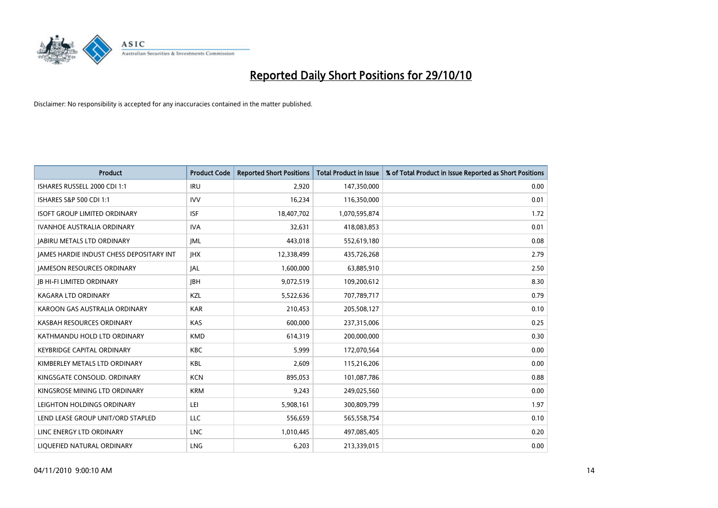

| <b>Product</b>                           | <b>Product Code</b> | <b>Reported Short Positions</b> | Total Product in Issue | % of Total Product in Issue Reported as Short Positions |
|------------------------------------------|---------------------|---------------------------------|------------------------|---------------------------------------------------------|
| ISHARES RUSSELL 2000 CDI 1:1             | <b>IRU</b>          | 2,920                           | 147,350,000            | 0.00                                                    |
| ISHARES S&P 500 CDI 1:1                  | <b>IVV</b>          | 16,234                          | 116,350,000            | 0.01                                                    |
| <b>ISOFT GROUP LIMITED ORDINARY</b>      | <b>ISF</b>          | 18,407,702                      | 1,070,595,874          | 1.72                                                    |
| <b>IVANHOE AUSTRALIA ORDINARY</b>        | <b>IVA</b>          | 32,631                          | 418,083,853            | 0.01                                                    |
| <b>IABIRU METALS LTD ORDINARY</b>        | <b>IML</b>          | 443.018                         | 552,619,180            | 0.08                                                    |
| JAMES HARDIE INDUST CHESS DEPOSITARY INT | <b>IHX</b>          | 12,338,499                      | 435,726,268            | 2.79                                                    |
| <b>JAMESON RESOURCES ORDINARY</b>        | <b>JAL</b>          | 1,600,000                       | 63,885,910             | 2.50                                                    |
| <b>JB HI-FI LIMITED ORDINARY</b>         | <b>IBH</b>          | 9,072,519                       | 109,200,612            | 8.30                                                    |
| <b>KAGARA LTD ORDINARY</b>               | KZL                 | 5,522,636                       | 707,789,717            | 0.79                                                    |
| KAROON GAS AUSTRALIA ORDINARY            | <b>KAR</b>          | 210,453                         | 205,508,127            | 0.10                                                    |
| KASBAH RESOURCES ORDINARY                | <b>KAS</b>          | 600,000                         | 237,315,006            | 0.25                                                    |
| KATHMANDU HOLD LTD ORDINARY              | <b>KMD</b>          | 614,319                         | 200,000,000            | 0.30                                                    |
| <b>KEYBRIDGE CAPITAL ORDINARY</b>        | <b>KBC</b>          | 5,999                           | 172,070,564            | 0.00                                                    |
| KIMBERLEY METALS LTD ORDINARY            | <b>KBL</b>          | 2,609                           | 115,216,206            | 0.00                                                    |
| KINGSGATE CONSOLID, ORDINARY             | <b>KCN</b>          | 895,053                         | 101,087,786            | 0.88                                                    |
| KINGSROSE MINING LTD ORDINARY            | <b>KRM</b>          | 9,243                           | 249,025,560            | 0.00                                                    |
| LEIGHTON HOLDINGS ORDINARY               | LEI                 | 5,908,161                       | 300,809,799            | 1.97                                                    |
| LEND LEASE GROUP UNIT/ORD STAPLED        | LLC                 | 556,659                         | 565,558,754            | 0.10                                                    |
| LINC ENERGY LTD ORDINARY                 | <b>LNC</b>          | 1,010,445                       | 497,085,405            | 0.20                                                    |
| LIQUEFIED NATURAL ORDINARY               | <b>LNG</b>          | 6,203                           | 213,339,015            | 0.00                                                    |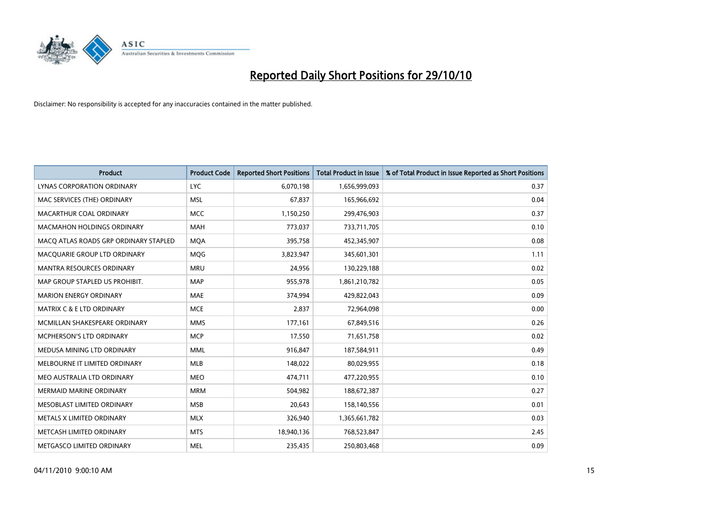

| <b>Product</b>                        | <b>Product Code</b> | <b>Reported Short Positions</b> | Total Product in Issue | % of Total Product in Issue Reported as Short Positions |
|---------------------------------------|---------------------|---------------------------------|------------------------|---------------------------------------------------------|
| LYNAS CORPORATION ORDINARY            | <b>LYC</b>          | 6,070,198                       | 1,656,999,093          | 0.37                                                    |
| MAC SERVICES (THE) ORDINARY           | <b>MSL</b>          | 67,837                          | 165,966,692            | 0.04                                                    |
| MACARTHUR COAL ORDINARY               | <b>MCC</b>          | 1,150,250                       | 299,476,903            | 0.37                                                    |
| <b>MACMAHON HOLDINGS ORDINARY</b>     | <b>MAH</b>          | 773,037                         | 733,711,705            | 0.10                                                    |
| MACQ ATLAS ROADS GRP ORDINARY STAPLED | <b>MQA</b>          | 395,758                         | 452,345,907            | 0.08                                                    |
| MACQUARIE GROUP LTD ORDINARY          | MQG                 | 3,823,947                       | 345,601,301            | 1.11                                                    |
| MANTRA RESOURCES ORDINARY             | <b>MRU</b>          | 24,956                          | 130,229,188            | 0.02                                                    |
| MAP GROUP STAPLED US PROHIBIT.        | <b>MAP</b>          | 955,978                         | 1,861,210,782          | 0.05                                                    |
| <b>MARION ENERGY ORDINARY</b>         | <b>MAE</b>          | 374,994                         | 429,822,043            | 0.09                                                    |
| <b>MATRIX C &amp; E LTD ORDINARY</b>  | <b>MCE</b>          | 2,837                           | 72,964,098             | 0.00                                                    |
| MCMILLAN SHAKESPEARE ORDINARY         | <b>MMS</b>          | 177,161                         | 67,849,516             | 0.26                                                    |
| MCPHERSON'S LTD ORDINARY              | <b>MCP</b>          | 17,550                          | 71,651,758             | 0.02                                                    |
| MEDUSA MINING LTD ORDINARY            | <b>MML</b>          | 916,847                         | 187,584,911            | 0.49                                                    |
| MELBOURNE IT LIMITED ORDINARY         | <b>MLB</b>          | 148,022                         | 80,029,955             | 0.18                                                    |
| MEO AUSTRALIA LTD ORDINARY            | <b>MEO</b>          | 474,711                         | 477,220,955            | 0.10                                                    |
| <b>MERMAID MARINE ORDINARY</b>        | <b>MRM</b>          | 504,982                         | 188,672,387            | 0.27                                                    |
| MESOBLAST LIMITED ORDINARY            | <b>MSB</b>          | 20,643                          | 158,140,556            | 0.01                                                    |
| METALS X LIMITED ORDINARY             | <b>MLX</b>          | 326,940                         | 1,365,661,782          | 0.03                                                    |
| METCASH LIMITED ORDINARY              | <b>MTS</b>          | 18,940,136                      | 768,523,847            | 2.45                                                    |
| METGASCO LIMITED ORDINARY             | <b>MEL</b>          | 235,435                         | 250,803,468            | 0.09                                                    |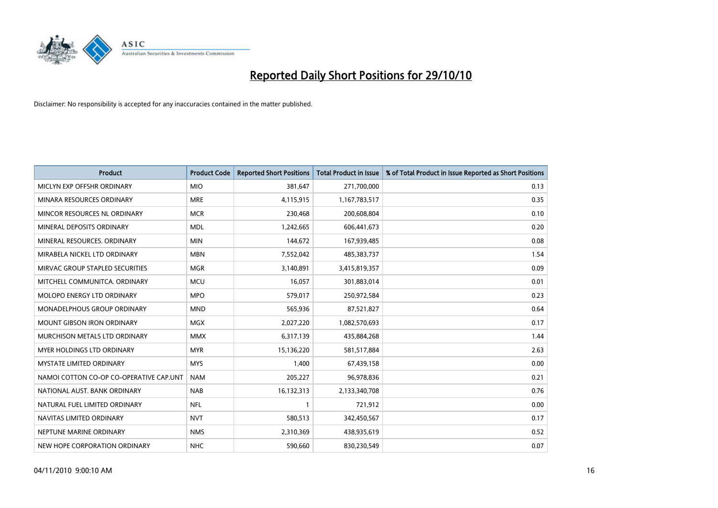

| <b>Product</b>                          | <b>Product Code</b> | <b>Reported Short Positions</b> | <b>Total Product in Issue</b> | % of Total Product in Issue Reported as Short Positions |
|-----------------------------------------|---------------------|---------------------------------|-------------------------------|---------------------------------------------------------|
| MICLYN EXP OFFSHR ORDINARY              | <b>MIO</b>          | 381,647                         | 271,700,000                   | 0.13                                                    |
| MINARA RESOURCES ORDINARY               | <b>MRE</b>          | 4,115,915                       | 1,167,783,517                 | 0.35                                                    |
| MINCOR RESOURCES NL ORDINARY            | <b>MCR</b>          | 230,468                         | 200,608,804                   | 0.10                                                    |
| MINERAL DEPOSITS ORDINARY               | <b>MDL</b>          | 1,242,665                       | 606,441,673                   | 0.20                                                    |
| MINERAL RESOURCES, ORDINARY             | <b>MIN</b>          | 144,672                         | 167,939,485                   | 0.08                                                    |
| MIRABELA NICKEL LTD ORDINARY            | <b>MBN</b>          | 7,552,042                       | 485,383,737                   | 1.54                                                    |
| MIRVAC GROUP STAPLED SECURITIES         | <b>MGR</b>          | 3,140,891                       | 3,415,819,357                 | 0.09                                                    |
| MITCHELL COMMUNITCA, ORDINARY           | <b>MCU</b>          | 16,057                          | 301,883,014                   | 0.01                                                    |
| MOLOPO ENERGY LTD ORDINARY              | <b>MPO</b>          | 579,017                         | 250,972,584                   | 0.23                                                    |
| MONADELPHOUS GROUP ORDINARY             | <b>MND</b>          | 565,936                         | 87,521,827                    | 0.64                                                    |
| MOUNT GIBSON IRON ORDINARY              | <b>MGX</b>          | 2,027,220                       | 1,082,570,693                 | 0.17                                                    |
| MURCHISON METALS LTD ORDINARY           | <b>MMX</b>          | 6,317,139                       | 435,884,268                   | 1.44                                                    |
| <b>MYER HOLDINGS LTD ORDINARY</b>       | <b>MYR</b>          | 15,136,220                      | 581,517,884                   | 2.63                                                    |
| <b>MYSTATE LIMITED ORDINARY</b>         | <b>MYS</b>          | 1,400                           | 67,439,158                    | 0.00                                                    |
| NAMOI COTTON CO-OP CO-OPERATIVE CAP.UNT | <b>NAM</b>          | 205,227                         | 96,978,836                    | 0.21                                                    |
| NATIONAL AUST. BANK ORDINARY            | <b>NAB</b>          | 16,132,313                      | 2,133,340,708                 | 0.76                                                    |
| NATURAL FUEL LIMITED ORDINARY           | <b>NFL</b>          |                                 | 721,912                       | 0.00                                                    |
| NAVITAS LIMITED ORDINARY                | <b>NVT</b>          | 580,513                         | 342,450,567                   | 0.17                                                    |
| NEPTUNE MARINE ORDINARY                 | <b>NMS</b>          | 2,310,369                       | 438,935,619                   | 0.52                                                    |
| NEW HOPE CORPORATION ORDINARY           | <b>NHC</b>          | 590.660                         | 830,230,549                   | 0.07                                                    |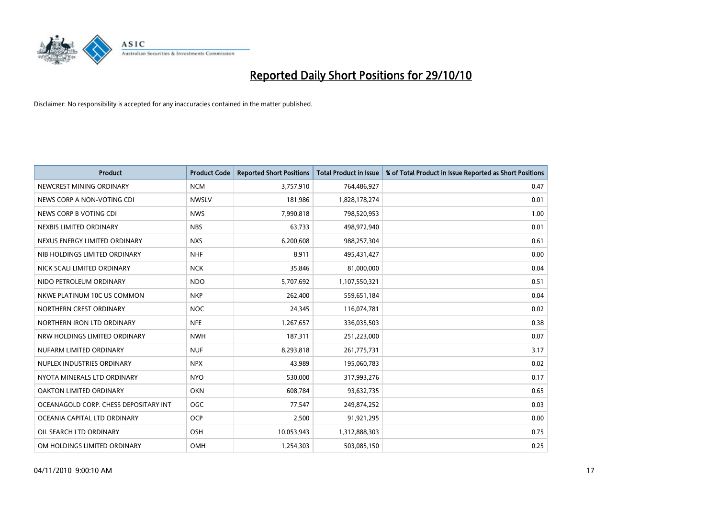

| <b>Product</b>                        | <b>Product Code</b> | <b>Reported Short Positions</b> | Total Product in Issue | % of Total Product in Issue Reported as Short Positions |
|---------------------------------------|---------------------|---------------------------------|------------------------|---------------------------------------------------------|
| NEWCREST MINING ORDINARY              | <b>NCM</b>          | 3,757,910                       | 764,486,927            | 0.47                                                    |
| NEWS CORP A NON-VOTING CDI            | <b>NWSLV</b>        | 181,986                         | 1,828,178,274          | 0.01                                                    |
| NEWS CORP B VOTING CDI                | <b>NWS</b>          | 7,990,818                       | 798,520,953            | 1.00                                                    |
| NEXBIS LIMITED ORDINARY               | <b>NBS</b>          | 63,733                          | 498,972,940            | 0.01                                                    |
| NEXUS ENERGY LIMITED ORDINARY         | <b>NXS</b>          | 6,200,608                       | 988,257,304            | 0.61                                                    |
| NIB HOLDINGS LIMITED ORDINARY         | <b>NHF</b>          | 8,911                           | 495,431,427            | 0.00                                                    |
| NICK SCALI LIMITED ORDINARY           | <b>NCK</b>          | 35,846                          | 81,000,000             | 0.04                                                    |
| NIDO PETROLEUM ORDINARY               | <b>NDO</b>          | 5,707,692                       | 1,107,550,321          | 0.51                                                    |
| NKWE PLATINUM 10C US COMMON           | <b>NKP</b>          | 262,400                         | 559,651,184            | 0.04                                                    |
| NORTHERN CREST ORDINARY               | NOC                 | 24.345                          | 116,074,781            | 0.02                                                    |
| NORTHERN IRON LTD ORDINARY            | <b>NFE</b>          | 1,267,657                       | 336,035,503            | 0.38                                                    |
| NRW HOLDINGS LIMITED ORDINARY         | <b>NWH</b>          | 187,311                         | 251,223,000            | 0.07                                                    |
| NUFARM LIMITED ORDINARY               | <b>NUF</b>          | 8,293,818                       | 261,775,731            | 3.17                                                    |
| NUPLEX INDUSTRIES ORDINARY            | <b>NPX</b>          | 43.989                          | 195,060,783            | 0.02                                                    |
| NYOTA MINERALS LTD ORDINARY           | <b>NYO</b>          | 530,000                         | 317,993,276            | 0.17                                                    |
| OAKTON LIMITED ORDINARY               | <b>OKN</b>          | 608,784                         | 93,632,735             | 0.65                                                    |
| OCEANAGOLD CORP. CHESS DEPOSITARY INT | <b>OGC</b>          | 77,547                          | 249,874,252            | 0.03                                                    |
| OCEANIA CAPITAL LTD ORDINARY          | <b>OCP</b>          | 2,500                           | 91,921,295             | 0.00                                                    |
| OIL SEARCH LTD ORDINARY               | OSH                 | 10,053,943                      | 1,312,888,303          | 0.75                                                    |
| OM HOLDINGS LIMITED ORDINARY          | OMH                 | 1.254.303                       | 503,085,150            | 0.25                                                    |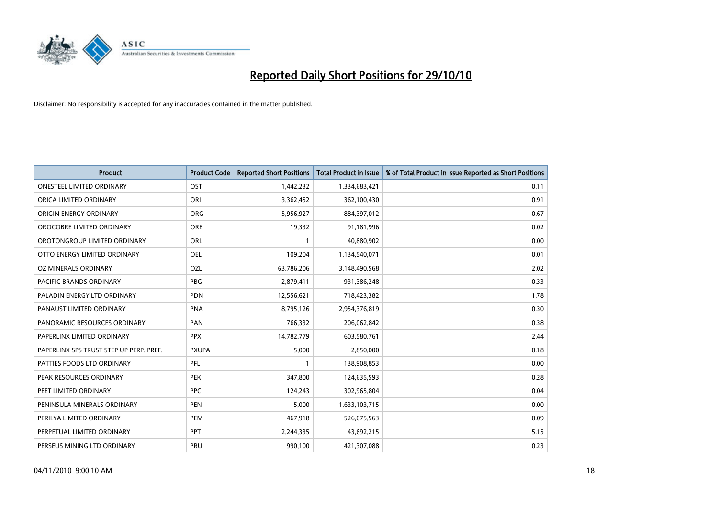

| <b>Product</b>                          | <b>Product Code</b> | <b>Reported Short Positions</b> | Total Product in Issue | % of Total Product in Issue Reported as Short Positions |
|-----------------------------------------|---------------------|---------------------------------|------------------------|---------------------------------------------------------|
| <b>ONESTEEL LIMITED ORDINARY</b>        | OST                 | 1,442,232                       | 1,334,683,421          | 0.11                                                    |
| ORICA LIMITED ORDINARY                  | ORI                 | 3,362,452                       | 362,100,430            | 0.91                                                    |
| <b>ORIGIN ENERGY ORDINARY</b>           | <b>ORG</b>          | 5,956,927                       | 884,397,012            | 0.67                                                    |
| OROCOBRE LIMITED ORDINARY               | <b>ORE</b>          | 19,332                          | 91,181,996             | 0.02                                                    |
| OROTONGROUP LIMITED ORDINARY            | <b>ORL</b>          |                                 | 40,880,902             | 0.00                                                    |
| OTTO ENERGY LIMITED ORDINARY            | <b>OEL</b>          | 109,204                         | 1,134,540,071          | 0.01                                                    |
| OZ MINERALS ORDINARY                    | OZL                 | 63,786,206                      | 3,148,490,568          | 2.02                                                    |
| <b>PACIFIC BRANDS ORDINARY</b>          | PBG                 | 2,879,411                       | 931,386,248            | 0.33                                                    |
| PALADIN ENERGY LTD ORDINARY             | <b>PDN</b>          | 12,556,621                      | 718,423,382            | 1.78                                                    |
| PANAUST LIMITED ORDINARY                | PNA                 | 8,795,126                       | 2,954,376,819          | 0.30                                                    |
| PANORAMIC RESOURCES ORDINARY            | PAN                 | 766,332                         | 206,062,842            | 0.38                                                    |
| PAPERLINX LIMITED ORDINARY              | <b>PPX</b>          | 14,782,779                      | 603,580,761            | 2.44                                                    |
| PAPERLINX SPS TRUST STEP UP PERP. PREF. | <b>PXUPA</b>        | 5,000                           | 2,850,000              | 0.18                                                    |
| PATTIES FOODS LTD ORDINARY              | PFL                 |                                 | 138,908,853            | 0.00                                                    |
| PEAK RESOURCES ORDINARY                 | <b>PEK</b>          | 347,800                         | 124,635,593            | 0.28                                                    |
| PEET LIMITED ORDINARY                   | <b>PPC</b>          | 124,243                         | 302,965,804            | 0.04                                                    |
| PENINSULA MINERALS ORDINARY             | <b>PEN</b>          | 5,000                           | 1,633,103,715          | 0.00                                                    |
| PERILYA LIMITED ORDINARY                | PEM                 | 467,918                         | 526,075,563            | 0.09                                                    |
| PERPETUAL LIMITED ORDINARY              | PPT                 | 2,244,335                       | 43,692,215             | 5.15                                                    |
| PERSEUS MINING LTD ORDINARY             | PRU                 | 990.100                         | 421,307,088            | 0.23                                                    |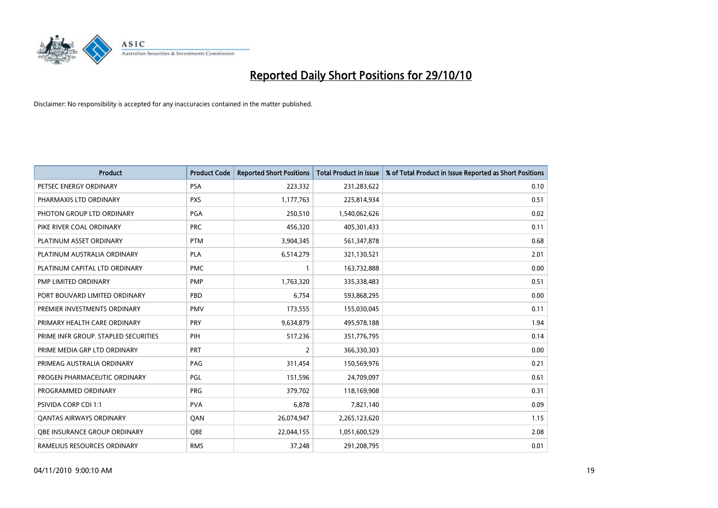

| Product                              | <b>Product Code</b> | <b>Reported Short Positions</b> | <b>Total Product in Issue</b> | % of Total Product in Issue Reported as Short Positions |
|--------------------------------------|---------------------|---------------------------------|-------------------------------|---------------------------------------------------------|
| PETSEC ENERGY ORDINARY               | <b>PSA</b>          | 223,332                         | 231,283,622                   | 0.10                                                    |
| PHARMAXIS LTD ORDINARY               | <b>PXS</b>          | 1,177,763                       | 225,814,934                   | 0.51                                                    |
| PHOTON GROUP LTD ORDINARY            | PGA                 | 250,510                         | 1,540,062,626                 | 0.02                                                    |
| PIKE RIVER COAL ORDINARY             | <b>PRC</b>          | 456,320                         | 405,301,433                   | 0.11                                                    |
| PLATINUM ASSET ORDINARY              | <b>PTM</b>          | 3,904,345                       | 561,347,878                   | 0.68                                                    |
| PLATINUM AUSTRALIA ORDINARY          | <b>PLA</b>          | 6,514,279                       | 321,130,521                   | 2.01                                                    |
| PLATINUM CAPITAL LTD ORDINARY        | <b>PMC</b>          |                                 | 163,732,888                   | 0.00                                                    |
| PMP LIMITED ORDINARY                 | PMP                 | 1,763,320                       | 335,338,483                   | 0.51                                                    |
| PORT BOUVARD LIMITED ORDINARY        | PBD                 | 6,754                           | 593,868,295                   | 0.00                                                    |
| PREMIER INVESTMENTS ORDINARY         | <b>PMV</b>          | 173,555                         | 155,030,045                   | 0.11                                                    |
| PRIMARY HEALTH CARE ORDINARY         | PRY                 | 9,634,879                       | 495,978,188                   | 1.94                                                    |
| PRIME INFR GROUP. STAPLED SECURITIES | PIH                 | 517,236                         | 351,776,795                   | 0.14                                                    |
| PRIME MEDIA GRP LTD ORDINARY         | PRT                 | 2                               | 366,330,303                   | 0.00                                                    |
| PRIMEAG AUSTRALIA ORDINARY           | PAG                 | 311,454                         | 150,569,976                   | 0.21                                                    |
| PROGEN PHARMACEUTIC ORDINARY         | PGL                 | 151,596                         | 24,709,097                    | 0.61                                                    |
| PROGRAMMED ORDINARY                  | <b>PRG</b>          | 379,702                         | 118,169,908                   | 0.31                                                    |
| <b>PSIVIDA CORP CDI 1:1</b>          | <b>PVA</b>          | 6,878                           | 7,821,140                     | 0.09                                                    |
| <b>QANTAS AIRWAYS ORDINARY</b>       | QAN                 | 26,074,947                      | 2,265,123,620                 | 1.15                                                    |
| OBE INSURANCE GROUP ORDINARY         | <b>OBE</b>          | 22,044,155                      | 1,051,600,529                 | 2.08                                                    |
| RAMELIUS RESOURCES ORDINARY          | <b>RMS</b>          | 37,248                          | 291,208,795                   | 0.01                                                    |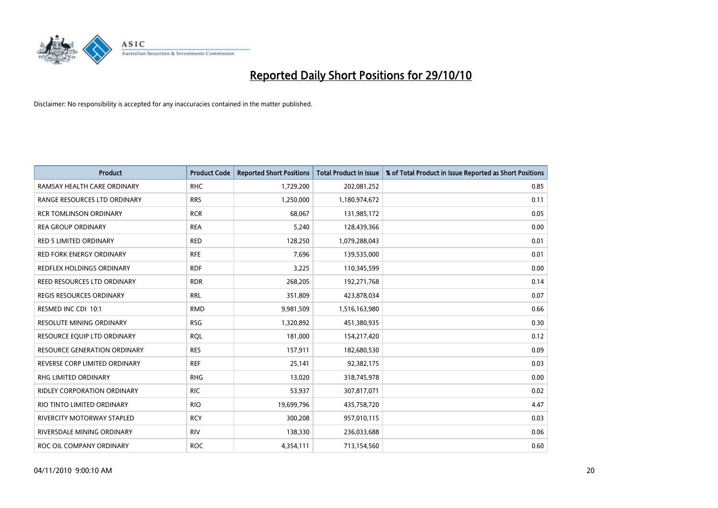

| <b>Product</b>                      | <b>Product Code</b> | <b>Reported Short Positions</b> | <b>Total Product in Issue</b> | % of Total Product in Issue Reported as Short Positions |
|-------------------------------------|---------------------|---------------------------------|-------------------------------|---------------------------------------------------------|
| RAMSAY HEALTH CARE ORDINARY         | <b>RHC</b>          | 1,729,200                       | 202,081,252                   | 0.85                                                    |
| RANGE RESOURCES LTD ORDINARY        | <b>RRS</b>          | 1,250,000                       | 1,180,974,672                 | 0.11                                                    |
| <b>RCR TOMLINSON ORDINARY</b>       | <b>RCR</b>          | 68.067                          | 131,985,172                   | 0.05                                                    |
| <b>REA GROUP ORDINARY</b>           | <b>REA</b>          | 5,240                           | 128,439,366                   | 0.00                                                    |
| <b>RED 5 LIMITED ORDINARY</b>       | <b>RED</b>          | 128,250                         | 1,079,288,043                 | 0.01                                                    |
| <b>RED FORK ENERGY ORDINARY</b>     | <b>RFE</b>          | 7,696                           | 139,535,000                   | 0.01                                                    |
| REDFLEX HOLDINGS ORDINARY           | <b>RDF</b>          | 3,225                           | 110,345,599                   | 0.00                                                    |
| REED RESOURCES LTD ORDINARY         | <b>RDR</b>          | 268,205                         | 192,271,768                   | 0.14                                                    |
| REGIS RESOURCES ORDINARY            | <b>RRL</b>          | 351,809                         | 423,878,034                   | 0.07                                                    |
| RESMED INC CDI 10:1                 | <b>RMD</b>          | 9,981,509                       | 1,516,163,980                 | 0.66                                                    |
| <b>RESOLUTE MINING ORDINARY</b>     | RSG                 | 1,320,892                       | 451,380,935                   | 0.30                                                    |
| RESOURCE EQUIP LTD ORDINARY         | <b>ROL</b>          | 181,000                         | 154,217,420                   | 0.12                                                    |
| <b>RESOURCE GENERATION ORDINARY</b> | <b>RES</b>          | 157,911                         | 182,680,530                   | 0.09                                                    |
| REVERSE CORP LIMITED ORDINARY       | <b>REF</b>          | 25,141                          | 92,382,175                    | 0.03                                                    |
| <b>RHG LIMITED ORDINARY</b>         | <b>RHG</b>          | 13,020                          | 318,745,978                   | 0.00                                                    |
| <b>RIDLEY CORPORATION ORDINARY</b>  | <b>RIC</b>          | 53,937                          | 307,817,071                   | 0.02                                                    |
| RIO TINTO LIMITED ORDINARY          | <b>RIO</b>          | 19,699,796                      | 435,758,720                   | 4.47                                                    |
| RIVERCITY MOTORWAY STAPLED          | <b>RCY</b>          | 300,208                         | 957,010,115                   | 0.03                                                    |
| RIVERSDALE MINING ORDINARY          | <b>RIV</b>          | 138,330                         | 236,033,688                   | 0.06                                                    |
| ROC OIL COMPANY ORDINARY            | <b>ROC</b>          | 4,354,111                       | 713,154,560                   | 0.60                                                    |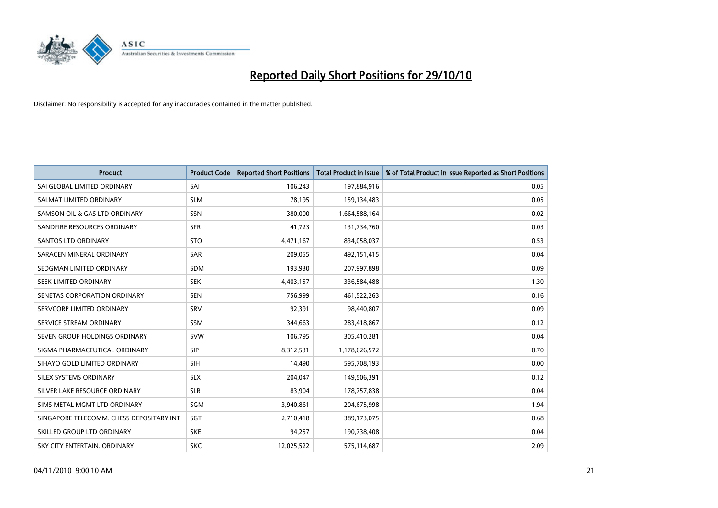

| <b>Product</b>                           | <b>Product Code</b> | <b>Reported Short Positions</b> | <b>Total Product in Issue</b> | % of Total Product in Issue Reported as Short Positions |
|------------------------------------------|---------------------|---------------------------------|-------------------------------|---------------------------------------------------------|
| SAI GLOBAL LIMITED ORDINARY              | SAI                 | 106,243                         | 197,884,916                   | 0.05                                                    |
| SALMAT LIMITED ORDINARY                  | <b>SLM</b>          | 78,195                          | 159,134,483                   | 0.05                                                    |
| SAMSON OIL & GAS LTD ORDINARY            | <b>SSN</b>          | 380,000                         | 1,664,588,164                 | 0.02                                                    |
| SANDFIRE RESOURCES ORDINARY              | <b>SFR</b>          | 41,723                          | 131,734,760                   | 0.03                                                    |
| <b>SANTOS LTD ORDINARY</b>               | <b>STO</b>          | 4,471,167                       | 834,058,037                   | 0.53                                                    |
| SARACEN MINERAL ORDINARY                 | <b>SAR</b>          | 209,055                         | 492,151,415                   | 0.04                                                    |
| SEDGMAN LIMITED ORDINARY                 | <b>SDM</b>          | 193,930                         | 207,997,898                   | 0.09                                                    |
| SEEK LIMITED ORDINARY                    | <b>SEK</b>          | 4,403,157                       | 336,584,488                   | 1.30                                                    |
| SENETAS CORPORATION ORDINARY             | <b>SEN</b>          | 756,999                         | 461,522,263                   | 0.16                                                    |
| SERVCORP LIMITED ORDINARY                | SRV                 | 92,391                          | 98,440,807                    | 0.09                                                    |
| SERVICE STREAM ORDINARY                  | <b>SSM</b>          | 344,663                         | 283,418,867                   | 0.12                                                    |
| SEVEN GROUP HOLDINGS ORDINARY            | <b>SVW</b>          | 106,795                         | 305,410,281                   | 0.04                                                    |
| SIGMA PHARMACEUTICAL ORDINARY            | <b>SIP</b>          | 8,312,531                       | 1,178,626,572                 | 0.70                                                    |
| SIHAYO GOLD LIMITED ORDINARY             | SIH                 | 14,490                          | 595,708,193                   | 0.00                                                    |
| SILEX SYSTEMS ORDINARY                   | <b>SLX</b>          | 204,047                         | 149,506,391                   | 0.12                                                    |
| SILVER LAKE RESOURCE ORDINARY            | <b>SLR</b>          | 83,904                          | 178,757,838                   | 0.04                                                    |
| SIMS METAL MGMT LTD ORDINARY             | SGM                 | 3,940,861                       | 204,675,998                   | 1.94                                                    |
| SINGAPORE TELECOMM. CHESS DEPOSITARY INT | SGT                 | 2,710,418                       | 389,173,075                   | 0.68                                                    |
| SKILLED GROUP LTD ORDINARY               | <b>SKE</b>          | 94,257                          | 190,738,408                   | 0.04                                                    |
| SKY CITY ENTERTAIN, ORDINARY             | <b>SKC</b>          | 12,025,522                      | 575,114,687                   | 2.09                                                    |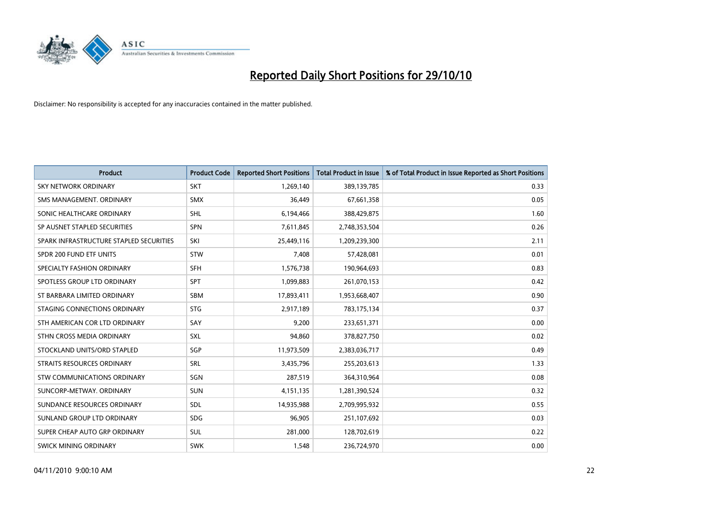

| <b>Product</b>                          | <b>Product Code</b> | <b>Reported Short Positions</b> | <b>Total Product in Issue</b> | % of Total Product in Issue Reported as Short Positions |
|-----------------------------------------|---------------------|---------------------------------|-------------------------------|---------------------------------------------------------|
| <b>SKY NETWORK ORDINARY</b>             | <b>SKT</b>          | 1,269,140                       | 389,139,785                   | 0.33                                                    |
| SMS MANAGEMENT, ORDINARY                | <b>SMX</b>          | 36,449                          | 67,661,358                    | 0.05                                                    |
| SONIC HEALTHCARE ORDINARY               | <b>SHL</b>          | 6,194,466                       | 388,429,875                   | 1.60                                                    |
| SP AUSNET STAPLED SECURITIES            | <b>SPN</b>          | 7,611,845                       | 2,748,353,504                 | 0.26                                                    |
| SPARK INFRASTRUCTURE STAPLED SECURITIES | SKI                 | 25,449,116                      | 1,209,239,300                 | 2.11                                                    |
| SPDR 200 FUND ETF UNITS                 | <b>STW</b>          | 7,408                           | 57,428,081                    | 0.01                                                    |
| SPECIALTY FASHION ORDINARY              | <b>SFH</b>          | 1,576,738                       | 190,964,693                   | 0.83                                                    |
| SPOTLESS GROUP LTD ORDINARY             | <b>SPT</b>          | 1,099,883                       | 261,070,153                   | 0.42                                                    |
| ST BARBARA LIMITED ORDINARY             | <b>SBM</b>          | 17,893,411                      | 1,953,668,407                 | 0.90                                                    |
| STAGING CONNECTIONS ORDINARY            | <b>STG</b>          | 2,917,189                       | 783,175,134                   | 0.37                                                    |
| STH AMERICAN COR LTD ORDINARY           | SAY                 | 9.200                           | 233,651,371                   | 0.00                                                    |
| STHN CROSS MEDIA ORDINARY               | SXL                 | 94,860                          | 378,827,750                   | 0.02                                                    |
| STOCKLAND UNITS/ORD STAPLED             | SGP                 | 11,973,509                      | 2,383,036,717                 | 0.49                                                    |
| STRAITS RESOURCES ORDINARY              | SRL                 | 3,435,796                       | 255,203,613                   | 1.33                                                    |
| STW COMMUNICATIONS ORDINARY             | SGN                 | 287,519                         | 364,310,964                   | 0.08                                                    |
| SUNCORP-METWAY, ORDINARY                | <b>SUN</b>          | 4,151,135                       | 1,281,390,524                 | 0.32                                                    |
| SUNDANCE RESOURCES ORDINARY             | SDL                 | 14,935,988                      | 2,709,995,932                 | 0.55                                                    |
| SUNLAND GROUP LTD ORDINARY              | <b>SDG</b>          | 96,905                          | 251,107,692                   | 0.03                                                    |
| SUPER CHEAP AUTO GRP ORDINARY           | <b>SUL</b>          | 281,000                         | 128,702,619                   | 0.22                                                    |
| SWICK MINING ORDINARY                   | <b>SWK</b>          | 1,548                           | 236,724,970                   | 0.00                                                    |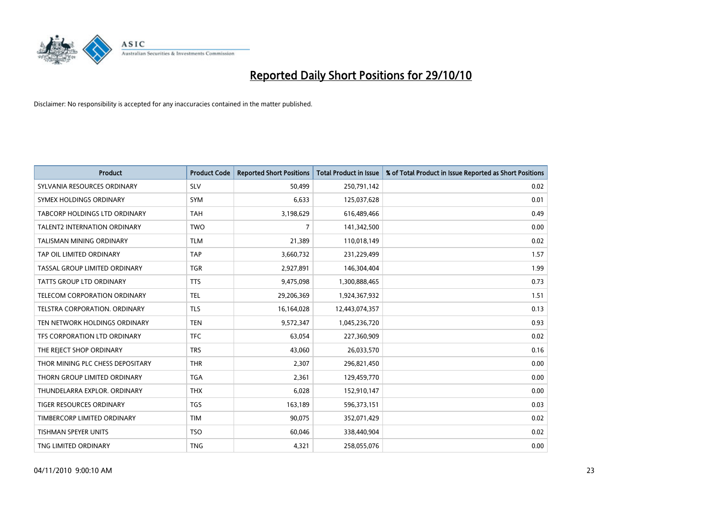

| <b>Product</b>                       | <b>Product Code</b> | <b>Reported Short Positions</b> | <b>Total Product in Issue</b> | % of Total Product in Issue Reported as Short Positions |
|--------------------------------------|---------------------|---------------------------------|-------------------------------|---------------------------------------------------------|
| SYLVANIA RESOURCES ORDINARY          | <b>SLV</b>          | 50,499                          | 250,791,142                   | 0.02                                                    |
| SYMEX HOLDINGS ORDINARY              | <b>SYM</b>          | 6,633                           | 125,037,628                   | 0.01                                                    |
| <b>TABCORP HOLDINGS LTD ORDINARY</b> | <b>TAH</b>          | 3,198,629                       | 616,489,466                   | 0.49                                                    |
| TALENT2 INTERNATION ORDINARY         | <b>TWO</b>          | 7                               | 141,342,500                   | 0.00                                                    |
| TALISMAN MINING ORDINARY             | <b>TLM</b>          | 21,389                          | 110,018,149                   | 0.02                                                    |
| TAP OIL LIMITED ORDINARY             | <b>TAP</b>          | 3,660,732                       | 231,229,499                   | 1.57                                                    |
| TASSAL GROUP LIMITED ORDINARY        | <b>TGR</b>          | 2,927,891                       | 146,304,404                   | 1.99                                                    |
| TATTS GROUP LTD ORDINARY             | <b>TTS</b>          | 9,475,098                       | 1,300,888,465                 | 0.73                                                    |
| TELECOM CORPORATION ORDINARY         | <b>TEL</b>          | 29,206,369                      | 1,924,367,932                 | 1.51                                                    |
| TELSTRA CORPORATION, ORDINARY        | <b>TLS</b>          | 16,164,028                      | 12,443,074,357                | 0.13                                                    |
| TEN NETWORK HOLDINGS ORDINARY        | <b>TEN</b>          | 9,572,347                       | 1,045,236,720                 | 0.93                                                    |
| TFS CORPORATION LTD ORDINARY         | <b>TFC</b>          | 63,054                          | 227,360,909                   | 0.02                                                    |
| THE REJECT SHOP ORDINARY             | <b>TRS</b>          | 43,060                          | 26,033,570                    | 0.16                                                    |
| THOR MINING PLC CHESS DEPOSITARY     | <b>THR</b>          | 2,307                           | 296,821,450                   | 0.00                                                    |
| THORN GROUP LIMITED ORDINARY         | <b>TGA</b>          | 2.361                           | 129,459,770                   | 0.00                                                    |
| THUNDELARRA EXPLOR. ORDINARY         | <b>THX</b>          | 6,028                           | 152,910,147                   | 0.00                                                    |
| TIGER RESOURCES ORDINARY             | <b>TGS</b>          | 163,189                         | 596,373,151                   | 0.03                                                    |
| TIMBERCORP LIMITED ORDINARY          | <b>TIM</b>          | 90,075                          | 352,071,429                   | 0.02                                                    |
| <b>TISHMAN SPEYER UNITS</b>          | <b>TSO</b>          | 60,046                          | 338,440,904                   | 0.02                                                    |
| TNG LIMITED ORDINARY                 | <b>TNG</b>          | 4,321                           | 258,055,076                   | 0.00                                                    |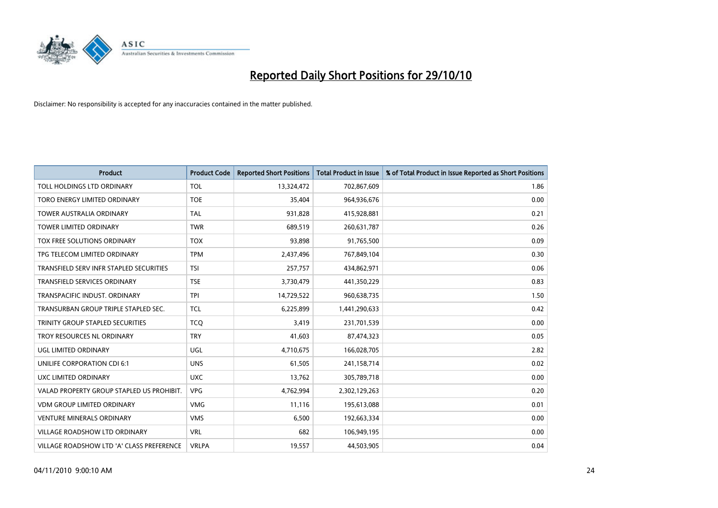

| <b>Product</b>                            | <b>Product Code</b> | <b>Reported Short Positions</b> | Total Product in Issue | % of Total Product in Issue Reported as Short Positions |
|-------------------------------------------|---------------------|---------------------------------|------------------------|---------------------------------------------------------|
| TOLL HOLDINGS LTD ORDINARY                | <b>TOL</b>          | 13,324,472                      | 702,867,609            | 1.86                                                    |
| TORO ENERGY LIMITED ORDINARY              | <b>TOE</b>          | 35,404                          | 964,936,676            | 0.00                                                    |
| <b>TOWER AUSTRALIA ORDINARY</b>           | <b>TAL</b>          | 931,828                         | 415,928,881            | 0.21                                                    |
| TOWER LIMITED ORDINARY                    | <b>TWR</b>          | 689,519                         | 260,631,787            | 0.26                                                    |
| TOX FREE SOLUTIONS ORDINARY               | <b>TOX</b>          | 93.898                          | 91,765,500             | 0.09                                                    |
| TPG TELECOM LIMITED ORDINARY              | <b>TPM</b>          | 2,437,496                       | 767,849,104            | 0.30                                                    |
| TRANSFIELD SERV INFR STAPLED SECURITIES   | <b>TSI</b>          | 257.757                         | 434,862,971            | 0.06                                                    |
| <b>TRANSFIELD SERVICES ORDINARY</b>       | <b>TSE</b>          | 3,730,479                       | 441,350,229            | 0.83                                                    |
| TRANSPACIFIC INDUST. ORDINARY             | <b>TPI</b>          | 14,729,522                      | 960,638,735            | 1.50                                                    |
| TRANSURBAN GROUP TRIPLE STAPLED SEC.      | <b>TCL</b>          | 6,225,899                       | 1,441,290,633          | 0.42                                                    |
| TRINITY GROUP STAPLED SECURITIES          | <b>TCQ</b>          | 3,419                           | 231,701,539            | 0.00                                                    |
| TROY RESOURCES NL ORDINARY                | <b>TRY</b>          | 41,603                          | 87,474,323             | 0.05                                                    |
| UGL LIMITED ORDINARY                      | <b>UGL</b>          | 4,710,675                       | 166,028,705            | 2.82                                                    |
| UNILIFE CORPORATION CDI 6:1               | <b>UNS</b>          | 61.505                          | 241,158,714            | 0.02                                                    |
| UXC LIMITED ORDINARY                      | <b>UXC</b>          | 13,762                          | 305,789,718            | 0.00                                                    |
| VALAD PROPERTY GROUP STAPLED US PROHIBIT. | <b>VPG</b>          | 4,762,994                       | 2,302,129,263          | 0.20                                                    |
| <b>VDM GROUP LIMITED ORDINARY</b>         | <b>VMG</b>          | 11,116                          | 195,613,088            | 0.01                                                    |
| <b>VENTURE MINERALS ORDINARY</b>          | <b>VMS</b>          | 6,500                           | 192,663,334            | 0.00                                                    |
| <b>VILLAGE ROADSHOW LTD ORDINARY</b>      | <b>VRL</b>          | 682                             | 106,949,195            | 0.00                                                    |
| VILLAGE ROADSHOW LTD 'A' CLASS PREFERENCE | <b>VRLPA</b>        | 19,557                          | 44,503,905             | 0.04                                                    |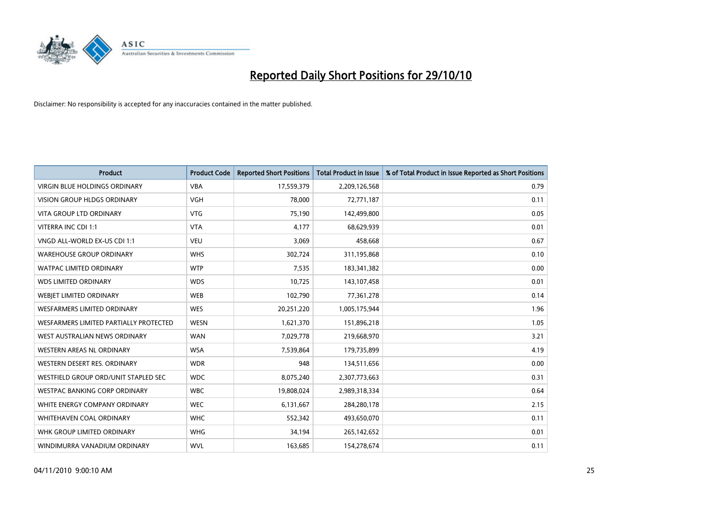

| <b>Product</b>                         | <b>Product Code</b> | <b>Reported Short Positions</b> | <b>Total Product in Issue</b> | % of Total Product in Issue Reported as Short Positions |
|----------------------------------------|---------------------|---------------------------------|-------------------------------|---------------------------------------------------------|
| <b>VIRGIN BLUE HOLDINGS ORDINARY</b>   | <b>VBA</b>          | 17,559,379                      | 2,209,126,568                 | 0.79                                                    |
| VISION GROUP HLDGS ORDINARY            | <b>VGH</b>          | 78,000                          | 72,771,187                    | 0.11                                                    |
| <b>VITA GROUP LTD ORDINARY</b>         | <b>VTG</b>          | 75,190                          | 142,499,800                   | 0.05                                                    |
| VITERRA INC CDI 1:1                    | <b>VTA</b>          | 4,177                           | 68,629,939                    | 0.01                                                    |
| VNGD ALL-WORLD EX-US CDI 1:1           | <b>VEU</b>          | 3,069                           | 458,668                       | 0.67                                                    |
| <b>WAREHOUSE GROUP ORDINARY</b>        | <b>WHS</b>          | 302,724                         | 311,195,868                   | 0.10                                                    |
| <b>WATPAC LIMITED ORDINARY</b>         | <b>WTP</b>          | 7,535                           | 183,341,382                   | 0.00                                                    |
| <b>WDS LIMITED ORDINARY</b>            | <b>WDS</b>          | 10,725                          | 143,107,458                   | 0.01                                                    |
| WEBIET LIMITED ORDINARY                | <b>WEB</b>          | 102,790                         | 77,361,278                    | 0.14                                                    |
| <b>WESFARMERS LIMITED ORDINARY</b>     | <b>WES</b>          | 20,251,220                      | 1,005,175,944                 | 1.96                                                    |
| WESFARMERS LIMITED PARTIALLY PROTECTED | <b>WESN</b>         | 1,621,370                       | 151,896,218                   | 1.05                                                    |
| WEST AUSTRALIAN NEWS ORDINARY          | <b>WAN</b>          | 7,029,778                       | 219,668,970                   | 3.21                                                    |
| <b>WESTERN AREAS NL ORDINARY</b>       | <b>WSA</b>          | 7,539,864                       | 179,735,899                   | 4.19                                                    |
| WESTERN DESERT RES. ORDINARY           | <b>WDR</b>          | 948                             | 134,511,656                   | 0.00                                                    |
| WESTFIELD GROUP ORD/UNIT STAPLED SEC   | <b>WDC</b>          | 8,075,240                       | 2,307,773,663                 | 0.31                                                    |
| <b>WESTPAC BANKING CORP ORDINARY</b>   | <b>WBC</b>          | 19,808,024                      | 2,989,318,334                 | 0.64                                                    |
| WHITE ENERGY COMPANY ORDINARY          | <b>WEC</b>          | 6,131,667                       | 284,280,178                   | 2.15                                                    |
| WHITEHAVEN COAL ORDINARY               | <b>WHC</b>          | 552,342                         | 493,650,070                   | 0.11                                                    |
| WHK GROUP LIMITED ORDINARY             | <b>WHG</b>          | 34,194                          | 265,142,652                   | 0.01                                                    |
| WINDIMURRA VANADIUM ORDINARY           | <b>WVL</b>          | 163,685                         | 154,278,674                   | 0.11                                                    |